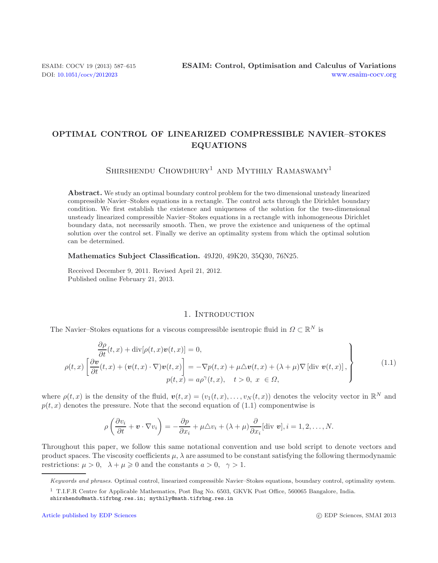# **OPTIMAL CONTROL OF LINEARIZED COMPRESSIBLE NAVIER–STOKES EQUATIONS**

SHIRSHENDU CHOWDHURY<sup>1</sup> AND MYTHILY RAMASWAMY<sup>1</sup>

**Abstract.** We study an optimal boundary control problem for the two dimensional unsteady linearized compressible Navier–Stokes equations in a rectangle. The control acts through the Dirichlet boundary condition. We first establish the existence and uniqueness of the solution for the two-dimensional unsteady linearized compressible Navier–Stokes equations in a rectangle with inhomogeneous Dirichlet boundary data, not necessarily smooth. Then, we prove the existence and uniqueness of the optimal solution over the control set. Finally we derive an optimality system from which the optimal solution can be determined.

**Mathematics Subject Classification.** 49J20, 49K20, 35Q30, 76N25.

Received December 9, 2011. Revised April 21, 2012. Published online February 21, 2013.

## 1. INTRODUCTION

The Navier–Stokes equations for a viscous compressible isentropic fluid in  $\Omega \subset \mathbb{R}^N$  is

$$
\frac{\partial \rho}{\partial t}(t, x) + \text{div}[\rho(t, x)v(t, x)] = 0,\n\rho(t, x)\left[\frac{\partial v}{\partial t}(t, x) + (v(t, x) \cdot \nabla)v(t, x)\right] = -\nabla p(t, x) + \mu \Delta v(t, x) + (\lambda + \mu)\nabla[\text{div } v(t, x)],\np(t, x) = a\rho^{\gamma}(t, x), \quad t > 0, \ x \in \Omega,
$$
\n(1.1)

where  $\rho(t, x)$  is the density of the fluid,  $\mathbf{v}(t, x)=(v_1(t, x),\ldots,v_N(t, x))$  denotes the velocity vector in  $\mathbb{R}^N$  and  $p(t, x)$  denotes the pressure. Note that the second equation of (1.1) componentwise is

$$
\rho\left(\frac{\partial v_i}{\partial t} + \mathbf{v} \cdot \nabla v_i\right) = -\frac{\partial p}{\partial x_i} + \mu \triangle v_i + (\lambda + \mu) \frac{\partial}{\partial x_i}[\text{div } \mathbf{v}], i = 1, 2, \dots, N.
$$

Throughout this paper, we follow this same notational convention and use bold script to denote vectors and product spaces. The viscosity coefficients  $\mu$ ,  $\lambda$  are assumed to be constant satisfying the following thermodynamic restrictions:  $\mu > 0$ ,  $\lambda + \mu \geq 0$  and the constants  $a > 0$ ,  $\gamma > 1$ .

*Keywords and phrases.* Optimal control, linearized compressible Navier–Stokes equations, boundary control, optimality system.

<sup>1</sup> T.I.F.R Centre for Applicable Mathematics, Post Bag No. 6503, GKVK Post Office, 560065 Bangalore, India. shirshendu@math.tifrbng.res.in; mythily@math.tifrbng.res.in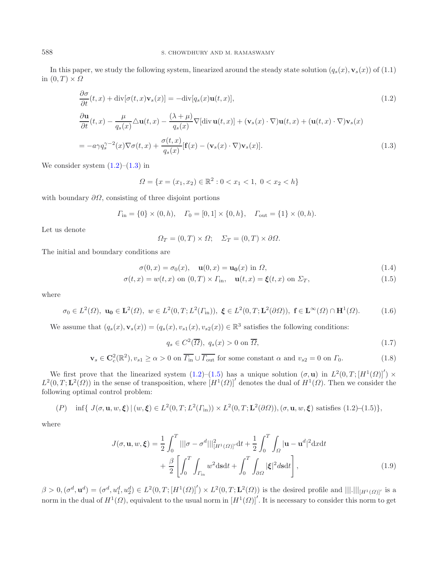<span id="page-1-0"></span>In this paper, we study the following system, linearized around the steady state solution  $(q_s(x), \mathbf{v}_s(x))$  of (1.1) in  $(0, T) \times \Omega$ 

$$
\frac{\partial \sigma}{\partial t}(t, x) + \text{div}[\sigma(t, x)\mathbf{v}_s(x)] = -\text{div}[q_s(x)\mathbf{u}(t, x)],\tag{1.2}
$$

$$
\frac{\partial \mathbf{u}}{\partial t}(t,x) - \frac{\mu}{q_s(x)} \triangle \mathbf{u}(t,x) - \frac{(\lambda + \mu)}{q_s(x)} \nabla[\text{div}\,\mathbf{u}(t,x)] + (\mathbf{v}_s(x) \cdot \nabla)\mathbf{u}(t,x) + (\mathbf{u}(t,x) \cdot \nabla)\mathbf{v}_s(x)
$$
\n
$$
= -a\gamma q_s^{\gamma - 2}(x)\nabla\sigma(t,x) + \frac{\sigma(t,x)}{q_s(x)}[\mathbf{f}(x) - (\mathbf{v}_s(x) \cdot \nabla)\mathbf{v}_s(x)].
$$
\n(1.3)

We consider system  $(1.2)$ – $(1.3)$  in

$$
\Omega = \{x = (x_1, x_2) \in \mathbb{R}^2 : 0 < x_1 < 1, \ 0 < x_2 < h\}
$$

<span id="page-1-3"></span>with boundary  $\partial\Omega$ , consisting of three disjoint portions

$$
\Gamma_{\text{in}} = \{0\} \times (0, h), \quad \Gamma_0 = [0, 1] \times \{0, h\}, \quad \Gamma_{\text{out}} = \{1\} \times (0, h).
$$

Let us denote

$$
\Omega_T = (0, T) \times \Omega; \quad \Sigma_T = (0, T) \times \partial \Omega.
$$

The initial and boundary conditions are

$$
\sigma(0, x) = \sigma_0(x), \quad \mathbf{u}(0, x) = \mathbf{u_0}(x) \text{ in } \Omega,
$$
\n(1.4)

<span id="page-1-1"></span>
$$
\sigma(t,x) = w(t,x) \text{ on } (0,T) \times \Gamma_{\text{in}}, \quad \mathbf{u}(t,x) = \xi(t,x) \text{ on } \Sigma_T,
$$
\n(1.5)

where

$$
\sigma_0 \in L^2(\Omega), \ \mathbf{u_0} \in \mathbf{L}^2(\Omega), \ w \in L^2(0, T; L^2(\Gamma_{\text{in}})), \ \xi \in L^2(0, T; \mathbf{L}^2(\partial \Omega)), \ \mathbf{f} \in \mathbf{L}^{\infty}(\Omega) \cap \mathbf{H}^1(\Omega). \tag{1.6}
$$

We assume that  $(q_s(x), \mathbf{v}_s(x)) = (q_s(x), v_{s1}(x), v_{s2}(x)) \in \mathbb{R}^3$  satisfies the following conditions:

$$
q_s \in C^2(\overline{\Omega}), \ q_s(x) > 0 \text{ on } \overline{\Omega}, \tag{1.7}
$$

<span id="page-1-2"></span>
$$
\mathbf{v}_s \in \mathbf{C}_c^2(\mathbb{R}^2), v_{s1} \ge \alpha > 0 \text{ on } \overline{\Gamma_{\text{in}}} \cup \overline{\Gamma_{\text{out}}} \text{ for some constant } \alpha \text{ and } v_{s2} = 0 \text{ on } \Gamma_0. \tag{1.8}
$$

We first prove that the linearized system  $(1.2)$ – $(1.5)$  has a unique solution  $(\sigma, \mathbf{u})$  in  $L^2(0,T; [H^1(\Omega)]') \times$  $L^2(0,T;\mathbf{L}^2(\Omega))$  in the sense of transposition, where  $[H^1(\Omega)]'$  denotes the dual of  $H^1(\Omega)$ . Then we consider the following optimal control problem:

$$
(P) \quad \inf\{ J(\sigma, \mathbf{u}, w, \xi) \mid (w, \xi) \in L^2(0, T; L^2(\Gamma_{\text{in}})) \times L^2(0, T; \mathbf{L}^2(\partial \Omega)), (\sigma, \mathbf{u}, w, \xi) \text{ satisfies (1.2)–(1.5)}\},
$$

where

$$
J(\sigma, \mathbf{u}, w, \boldsymbol{\xi}) = \frac{1}{2} \int_0^T |||\sigma - \sigma^d||^2_{[H^1(\Omega)]'} dt + \frac{1}{2} \int_0^T \int_{\Omega} |\mathbf{u} - \mathbf{u}^d|^2 dx dt
$$

$$
+ \frac{\beta}{2} \left[ \int_0^T \int_{\Gamma_{\text{in}}} w^2 ds dt + \int_0^T \int_{\partial \Omega} |\boldsymbol{\xi}|^2 ds dt \right],
$$
(1.9)

 $\beta > 0, (\sigma^d, \mathbf{u}^d) = (\sigma^d, u_1^d, u_2^d) \in L^2(0, T; [H^1(\Omega)]') \times L^2(0, T; \mathbf{L}^2(\Omega))$  is the desired profile and  $|||.|||_{[H^1(\Omega)]'}$  is a norm in the dual of  $H^1(\Omega)$ , equivalent to the usual norm in  $[H^1(\Omega)]'$ . It is necessary to consider this norm to get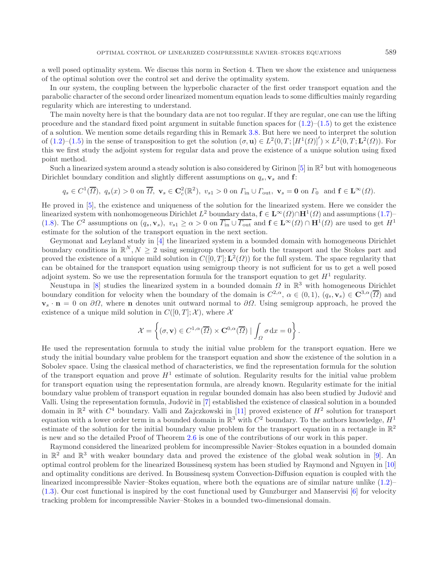a well posed optimality system. We discuss this norm in Section 4. Then we show the existence and uniqueness of the optimal solution over the control set and derive the optimality system.

In our system, the coupling between the hyperbolic character of the first order transport equation and the parabolic character of the second order linearized momentum equation leads to some difficulties mainly regarding regularity which are interesting to understand.

The main novelty here is that the boundary data are not too regular. If they are regular, one can use the lifting procedure and the standard fixed point argument in suitable function spaces for  $(1.2)$ – $(1.5)$  to get the existence of a solution. We mention some details regarding this in Remark [3.8.](#page-15-0) But here we need to interpret the solution of  $(1.2)$ – $(1.5)$  in the sense of transposition to get the solution  $(\sigma, \mathbf{u}) \in L^2(0,T; [H^1(\Omega)]') \times L^2(0,T; \mathbf{L}^2(\Omega))$ . For this we first study the adjoint system for regular data and prove the existence of a unique solution using fixed point method.

Such a linearized system around a steady solution is also considered by Girinon  $[5]$  in  $\mathbb{R}^2$  but with homogeneous Dirichlet boundary condition and slightly different assumptions on  $q_s$ ,  $\mathbf{v}_s$  and  $\mathbf{f}$ :

$$
q_s \in C^1(\overline{\Omega}), q_s(x) > 0
$$
 on  $\overline{\Omega}, \mathbf{v}_s \in \mathbf{C}_c^2(\mathbb{R}^2), v_{s1} > 0$  on  $\Gamma_{\text{in}} \cup \Gamma_{\text{out}}, \mathbf{v}_s = \mathbf{0}$  on  $\Gamma_0$  and  $\mathbf{f} \in \mathbf{L}^{\infty}(\Omega)$ .

He proved in [\[5\]](#page-28-0), the existence and uniqueness of the solution for the linearized system. Here we consider the linearized system with nonhomogeneous Dirichlet  $L^2$  boundary data,  $\mathbf{f} \in \mathbf{L}^\infty(\Omega) \cap \mathbf{H}^1(\Omega)$  and assumptions [\(1.7\)](#page-1-2)– [\(1.8\)](#page-1-2). The  $C^2$  assumptions on  $(q_s, \mathbf{v}_s)$ ,  $v_{s1} \geq \alpha > 0$  on  $\overline{\Gamma_{\text{in}}} \cup \overline{\Gamma_{\text{out}}}$  and  $\mathbf{f} \in \mathbf{L}^{\infty}(\Omega) \cap \mathbf{H}^1(\Omega)$  are used to get  $H^1$ estimate for the solution of the transport equation in the next section.

Geymonat and Leyland study in [\[4\]](#page-28-1) the linearized system in a bounded domain with homogeneous Dirichlet boundary conditions in  $\mathbb{R}^N, N \geq 2$  using semigroup theory for both the transport and the Stokes part and proved the existence of a unique mild solution in  $C([0, T]; \mathbf{L}^2(\Omega))$  for the full system. The space regularity that can be obtained for the transport equation using semigroup theory is not sufficient for us to get a well posed adjoint system. So we use the representation formula for the transport equation to get  $H<sup>1</sup>$  regularity.

Neustupa in [\[8](#page-28-2)] studies the linearized system in a bounded domain  $\Omega$  in  $\mathbb{R}^3$  with homogeneous Dirichlet boundary condition for velocity when the boundary of the domain is  $C^{2,\alpha}$ ,  $\alpha \in (0,1)$ ,  $(q_s, \mathbf{v}_s) \in \mathbf{C}^{3,\alpha}(\overline{\Omega})$  and  $\mathbf{v}_s \cdot \mathbf{n} = 0$  on  $\partial \Omega$ , where **n** denotes unit outward normal to  $\partial \Omega$ . Using semigroup approach, he proved the existence of a unique mild solution in  $C([0, T]; \mathcal{X})$ , where X

$$
\mathcal{X} = \left\{ (\sigma, \mathbf{v}) \in C^{1,\alpha}(\overline{\Omega}) \times \mathbf{C}^{0,\alpha}(\overline{\Omega}) \mid \int_{\Omega} \sigma \, dx = 0 \right\}.
$$

He used the representation formula to study the initial value problem for the transport equation. Here we study the initial boundary value problem for the transport equation and show the existence of the solution in a Sobolev space. Using the classical method of characteristics, we find the representation formula for the solution of the transport equation and prove  $H<sup>1</sup>$  estimate of solution. Regularity results for the initial value problem for transport equation using the representation formula, are already known. Regularity estimate for the initial boundary value problem of transport equation in regular bounded domain has also been studied by Judovič and Valli. Using the representation formula, Judovič in [\[7\]](#page-28-3) established the existence of classical solution in a bounded domain in  $\mathbb{R}^2$  with  $C^4$  boundary. Valli and Zajczkowski in [\[11\]](#page-28-4) proved existence of  $H^2$  solution for transport equation with a lower order term in a bounded domain in  $\mathbb{R}^3$  with  $C^2$  boundary. To the authors knowledge,  $H^1$ estimate of the solution for the initial boundary value problem for the transport equation in a rectangle in  $\mathbb{R}^2$ is new and so the detailed Proof of Theorem [2.6](#page-6-0) is one of the contributions of our work in this paper.

Raymond considered the linearized problem for incompressible Navier–Stokes equation in a bounded domain in  $\mathbb{R}^2$  and  $\mathbb{R}^3$  with weaker boundary data and proved the existence of the global weak solution in [\[9\]](#page-28-5). An optimal control problem for the linearized Boussinesq system has been studied by Raymond and Nguyen in [\[10\]](#page-28-6) and optimality conditions are derived. In Boussinesq system Convection-Diffusion equation is coupled with the linearized incompressible Navier–Stokes equation, where both the equations are of similar nature unlike [\(1.2\)](#page-1-0)– [\(1.3\)](#page-1-0). Our cost functional is inspired by the cost functional used by Gunzburger and Manservisi [\[6](#page-28-7)] for velocity tracking problem for incompressible Navier–Stokes in a bounded two-dimensional domain.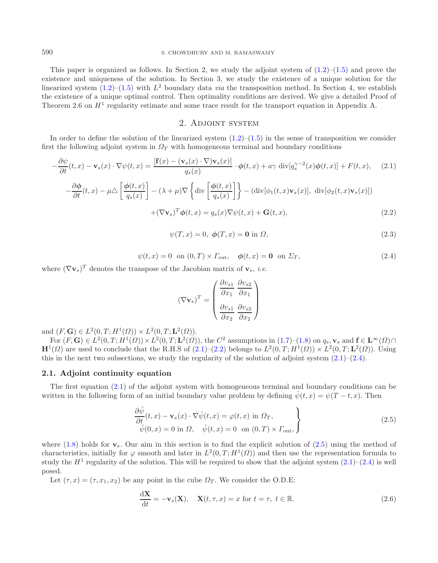#### 590 S. CHOWDHURY AND M. RAMASWAMY

<span id="page-3-1"></span>This paper is organized as follows. In Section 2, we study the adjoint system of  $(1.2)$ – $(1.5)$  and prove the existence and uniqueness of the solution. In Section 3, we study the existence of a unique solution for the linearized system  $(1.2)$ – $(1.5)$  with  $L^2$  boundary data *via* the transposition method. In Section 4, we establish the existence of a unique optimal control. Then optimality conditions are derived. We give a detailed Proof of Theorem 2.6 on  $H<sup>1</sup>$  regularity estimate and some trace result for the transport equation in Appendix A.

## <span id="page-3-0"></span>2. ADJOINT SYSTEM

<span id="page-3-2"></span>In order to define the solution of the linearized system  $(1.2)$ – $(1.5)$  in the sense of transposition we consider first the following adjoint system in  $\Omega_T$  with homogeneous terminal and boundary conditions

$$
-\frac{\partial \psi}{\partial t}(t,x) - \mathbf{v}_s(x) \cdot \nabla \psi(t,x) = \frac{\left[\mathbf{f}(x) - (\mathbf{v}_s(x) \cdot \nabla) \mathbf{v}_s(x)\right]}{q_s(x)} \cdot \phi(t,x) + a\gamma \operatorname{div}[q_s^{\gamma-2}(x)\phi(t,x)] + F(t,x), \quad (2.1)
$$

$$
-\frac{\partial \phi}{\partial t}(t,x) - \mu \triangle \left[ \frac{\phi(t,x)}{q_s(x)} \right] - (\lambda + \mu) \nabla \left\{ \text{div} \left[ \frac{\phi(t,x)}{q_s(x)} \right] \right\} - (\text{div}[\phi_1(t,x)\mathbf{v}_s(x)], \text{ div}[\phi_2(t,x)\mathbf{v}_s(x)])
$$

$$
+(\nabla \mathbf{v}_s)^T \phi(t,x) = q_s(x) \nabla \psi(t,x) + \mathbf{G}(t,x), \tag{2.2}
$$

$$
\psi(T \ r) = 0 \ \phi(T \ r) = 0 \text{ in } O \tag{2.3}
$$

$$
\varphi(x, \omega) = 0, \ \varphi(x, \omega) = 0 \text{ in } \omega, \tag{2.0}
$$

$$
\psi(t,x) = 0 \quad \text{on } (0,T) \times \Gamma_{\text{out}}, \quad \phi(t,x) = \mathbf{0} \quad \text{on } \Sigma_T,
$$
\n(2.4)

where  $(\nabla \mathbf{v}_s)^T$  denotes the transpose of the Jacobian matrix of  $\mathbf{v}_s$ , *i.e.* 

$$
(\nabla \mathbf{v}_s)^T = \begin{pmatrix} \frac{\partial v_{s1}}{\partial x_1} & \frac{\partial v_{s2}}{\partial x_1} \\ \frac{\partial v_{s1}}{\partial x_2} & \frac{\partial v_{s2}}{\partial x_2} \end{pmatrix}
$$

and  $(F, G) \in L^2(0, T; H^1(\Omega)) \times L^2(0, T; L^2(\Omega)).$ 

For  $(F, G) \in L^2(0, T; H^1(\Omega)) \times L^2(0, T; \mathbf{L}^2(\Omega))$ , the  $C^2$  assumptions in  $(1.7)$ – $(1.8)$  on  $q_s, \mathbf{v}_s$  and  $\mathbf{f} \in \mathbf{L}^{\infty}(\Omega) \cap$  $\mathbf{H}^1(\Omega)$  are used to conclude that the R.H.S of [\(2.1\)](#page-3-0)–[\(2.2\)](#page-3-1) belongs to  $L^2(0,T;H^1(\Omega)) \times L^2(0,T;\mathbf{L}^2(\Omega))$ . Using this in the next two subsections, we study the regularity of the solution of adjoint system  $(2.1)$ – $(2.4)$ .

#### **2.1. Adjoint continuity equation**

The first equation [\(2.1\)](#page-3-0) of the adjoint system with homogeneous terminal and boundary conditions can be written in the following form of an initial boundary value problem by defining  $\check{\psi}(t,x) = \psi(T-t,x)$ . Then

$$
\frac{\partial \check{\psi}}{\partial t}(t,x) - \mathbf{v}_s(x) \cdot \nabla \check{\psi}(t,x) = \varphi(t,x) \text{ in } \Omega_T, \n\check{\psi}(0,x) = 0 \text{ in } \Omega, \quad \check{\psi}(t,x) = 0 \text{ on } (0,T) \times \Gamma_{\text{out}},
$$
\n(2.5)

<span id="page-3-3"></span>where  $(1.8)$  holds for **v**<sub>s</sub>. Our aim in this section is to find the explicit solution of  $(2.5)$  using the method of characteristics, initially for  $\varphi$  smooth and later in  $L^2(0,T;H^1(\Omega))$  and then use the representation formula to study the  $H<sup>1</sup>$  regularity of the solution. This will be required to show that the adjoint system  $(2.1)$ – $(2.4)$  is well posed.

<span id="page-3-4"></span>Let  $(\tau, x) = (\tau, x_1, x_2)$  be any point in the cube  $\Omega_T$ . We consider the O.D.E:

$$
\frac{\mathrm{d}\mathbf{X}}{\mathrm{d}t} = -\mathbf{v}_s(\mathbf{X}), \quad \mathbf{X}(t,\tau,x) = x \text{ for } t = \tau, \ t \in \mathbb{R}.
$$
 (2.6)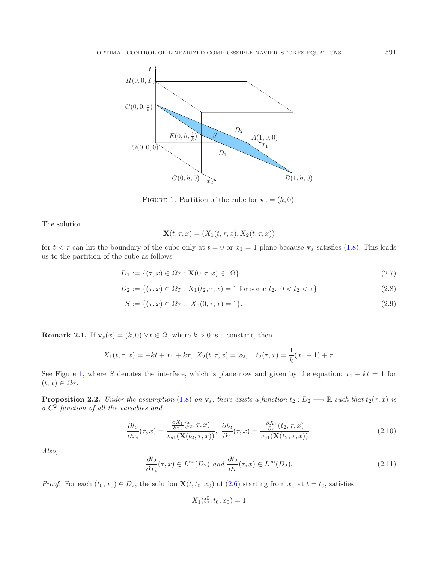<span id="page-4-0"></span>

FIGURE 1. Partition of the cube for  $\mathbf{v}_s = (k, 0)$ .

The solution

$$
\mathbf{X}(t,\tau,x) = (X_1(t,\tau,x), X_2(t,\tau,x))
$$

for  $t < \tau$  can hit the boundary of the cube only at  $t = 0$  or  $x_1 = 1$  plane because  $\mathbf{v}_s$  satisfies [\(1.8\)](#page-1-2). This leads us to the partition of the cube as follows

$$
D_1 := \{ (\tau, x) \in \Omega_T : \mathbf{X}(0, \tau, x) \in \Omega \}
$$
\n(2.7)

<span id="page-4-1"></span>
$$
D_2 := \{ (\tau, x) \in \Omega_T : X_1(t_2, \tau, x) = 1 \text{ for some } t_2, \ 0 < t_2 < \tau \} \tag{2.8}
$$

$$
S := \{ (\tau, x) \in \Omega_T : X_1(0, \tau, x) = 1 \}.
$$
\n
$$
(2.9)
$$

<span id="page-4-2"></span>**Remark 2.1.** If  $\mathbf{v}_s(x) = (k, 0) \,\forall x \in \overline{\Omega}$ , where  $k > 0$  is a constant, then

$$
X_1(t, \tau, x) = -kt + x_1 + k\tau, \ X_2(t, \tau, x) = x_2, \quad t_2(\tau, x) = \frac{1}{k}(x_1 - 1) + \tau.
$$

See Figure [1,](#page-4-0) where S denotes the interface, which is plane now and given by the equation:  $x_1 + kt = 1$  for  $(t, x) \in \Omega_T$ .

<span id="page-4-3"></span>**Proposition 2.2.** *Under the assumption* [\(1.8\)](#page-1-2) *on*  $\mathbf{v}_s$ *, there exists a function*  $t_2 : D_2 \longrightarrow \mathbb{R}$  *such that*  $t_2(\tau, x)$  *is a* C<sup>2</sup> *function of all the variables and*

$$
\frac{\partial t_2}{\partial x_i}(\tau, x) = \frac{\frac{\partial X_1}{\partial x_i}(t_2, \tau, x)}{v_{s1}(\mathbf{X}(t_2, \tau, x))}, \ \ \frac{\partial t_2}{\partial \tau}(\tau, x) = \frac{\frac{\partial X_1}{\partial \tau}(t_2, \tau, x)}{v_{s1}(\mathbf{X}(t_2, \tau, x))}.
$$
\n(2.10)

*Also,*

$$
\frac{\partial t_2}{\partial x_i}(\tau, x) \in L^{\infty}(D_2) \text{ and } \frac{\partial t_2}{\partial \tau}(\tau, x) \in L^{\infty}(D_2). \tag{2.11}
$$

*Proof.* For each  $(t_0, x_0) \in D_2$ , the solution **X**( $t, t_0, x_0$ ) of [\(2.6\)](#page-3-4) starting from  $x_0$  at  $t = t_0$ , satisfies

$$
X_1(t_2^0, t_0, x_0) = 1
$$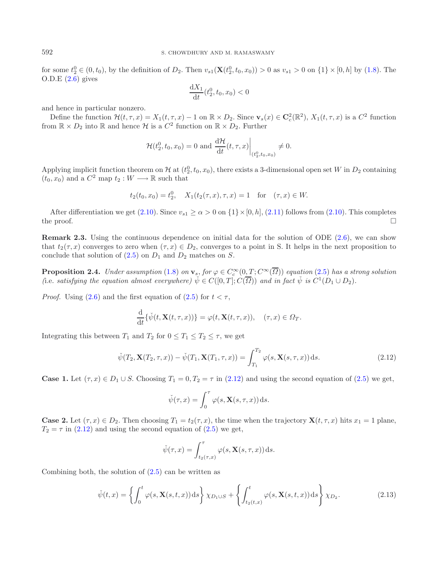for some  $t_2^0 \in (0, t_0)$ , by the definition of  $D_2$ . Then  $v_{s1}(\mathbf{X}(t_2^0, t_0, x_0)) > 0$  as  $v_{s1} > 0$  on  $\{1\} \times [0, h]$  by  $(1.8)$ . The  $O.D.E(2.6)$  $O.D.E(2.6)$  gives

$$
\frac{\mathrm{d}X_1}{\mathrm{d}t}(t_2^0, t_0, x_0) < 0
$$

and hence in particular nonzero.

Define the function  $\mathcal{H}(t, \tau, x) = X_1(t, \tau, x) - 1$  on  $\mathbb{R} \times D_2$ . Since  $\mathbf{v}_s(x) \in \mathbf{C}_c^2(\mathbb{R}^2)$ ,  $X_1(t, \tau, x)$  is a  $C^2$  function from  $\mathbb{R} \times D_2$  into  $\mathbb{R}$  and hence  $\mathcal{H}$  is a  $C^2$  function on  $\mathbb{R} \times D_2$ . Further

$$
\mathcal{H}(t_2^0, t_0, x_0) = 0
$$
 and  $\frac{d\mathcal{H}}{dt}(t, \tau, x)\Big|_{(t_2^0, t_0, x_0)} \neq 0.$ 

Applying implicit function theorem on H at  $(t_2^0, t_0, x_0)$ , there exists a 3-dimensional open set W in  $D_2$  containing  $(t_0, x_0)$  and a  $C^2$  map  $t_2 : W \longrightarrow \mathbb{R}$  such that

<span id="page-5-0"></span>
$$
t_2(t_0, x_0) = t_2^0
$$
,  $X_1(t_2(\tau, x), \tau, x) = 1$  for  $(\tau, x) \in W$ .

After differentiation we get [\(2.10\)](#page-4-1). Since  $v_{s1} \ge \alpha > 0$  on  $\{1\} \times [0, h]$ , [\(2.11\)](#page-4-2) follows from (2.10). This completes the proof.  $\Box$ 

<span id="page-5-2"></span>**Remark 2.3.** Using the continuous dependence on initial data for the solution of ODE [\(2.6\)](#page-3-4), we can show that  $t_2(\tau,x)$  converges to zero when  $(\tau,x) \in D_2$ , converges to a point in S. It helps in the next proposition to conclude that solution of  $(2.5)$  on  $D_1$  and  $D_2$  matches on S.

<span id="page-5-3"></span>**Proposition 2.4.** *Under assumption* [\(1.8\)](#page-1-2) *on*  $\mathbf{v}_s$ , *for*  $\varphi \in C_c^{\infty}(0,T;C^{\infty}(\overline{\Omega}))$  *equation* [\(2.5\)](#page-3-3) *has a strong solution (i.e. satisfying the equation almost everywhere)*  $\check{\psi} \in C([0, T]; C(\overline{\Omega}))$  *and in fact*  $\check{\psi}$  *is*  $C^1(D_1 \cup D_2)$ *.* 

*Proof.* Using [\(2.6\)](#page-3-4) and the first equation of [\(2.5\)](#page-3-3) for  $t < \tau$ ,

$$
\frac{\mathrm{d}}{\mathrm{d}t}\{\check{\psi}(t,\mathbf{X}(t,\tau,x))\}=\varphi(t,\mathbf{X}(t,\tau,x)),\quad(\tau,x)\in\varOmega_T.
$$

Integrating this between  $T_1$  and  $T_2$  for  $0 \le T_1 \le T_2 \le \tau$ , we get

$$
\check{\psi}(T_2, \mathbf{X}(T_2, \tau, x)) - \check{\psi}(T_1, \mathbf{X}(T_1, \tau, x)) = \int_{T_1}^{T_2} \varphi(s, \mathbf{X}(s, \tau, x)) ds.
$$
\n(2.12)

**Case 1.** Let  $(\tau, x) \in D_1 \cup S$ . Choosing  $T_1 = 0, T_2 = \tau$  in [\(2.12\)](#page-5-0) and using the second equation of [\(2.5\)](#page-3-3) we get,

<span id="page-5-1"></span>
$$
\check{\psi}(\tau, x) = \int_0^{\tau} \varphi(s, \mathbf{X}(s, \tau, x)) ds.
$$

**Case 2.** Let  $(\tau, x) \in D_2$ . Then choosing  $T_1 = t_2(\tau, x)$ , the time when the trajectory  $\mathbf{X}(t, \tau, x)$  hits  $x_1 = 1$  plane,  $T_2 = \tau$  in [\(2.12\)](#page-5-0) and using the second equation of [\(2.5\)](#page-3-3) we get,

$$
\check{\psi}(\tau,x) = \int_{t_2(\tau,x)}^{\tau} \varphi(s, \mathbf{X}(s,\tau,x)) \,ds.
$$

Combining both, the solution of  $(2.5)$  can be written as

$$
\check{\psi}(t,x) = \left\{ \int_0^t \varphi(s, \mathbf{X}(s,t,x)) \, ds \right\} \chi_{D_1 \cup S} + \left\{ \int_{t_2(t,x)}^t \varphi(s, \mathbf{X}(s,t,x)) \, ds \right\} \chi_{D_2}.
$$
\n(2.13)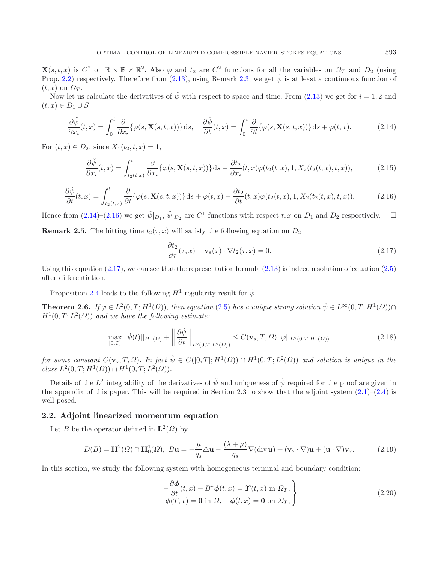<span id="page-6-6"></span><span id="page-6-2"></span><span id="page-6-1"></span>**X**(s, t, x) is  $C^2$  on  $\mathbb{R} \times \mathbb{R} \times \mathbb{R}^2$ . Also  $\varphi$  and  $t_2$  are  $C^2$  functions for all the variables on  $\overline{\Omega_T}$  and  $D_2$  (using Prop. [2.2\)](#page-4-3) respectively. Therefore from [\(2.13\)](#page-5-1), using Remark [2.3,](#page-5-2) we get  $\check{\psi}$  is at least a continuous function of  $(t, x)$  on  $\overline{\Omega_T}$ .

Now let us calculate the derivatives of  $\check{\psi}$  with respect to space and time. From [\(2.13\)](#page-5-1) we get for  $i = 1, 2$  and  $(t, x) \in D_1 \cup S$ 

$$
\frac{\partial \check{\psi}}{\partial x_i}(t,x) = \int_0^t \frac{\partial}{\partial x_i} \{\varphi(s, \mathbf{X}(s,t,x))\} ds, \quad \frac{\partial \check{\psi}}{\partial t}(t,x) = \int_0^t \frac{\partial}{\partial t} \{\varphi(s, \mathbf{X}(s,t,x))\} ds + \varphi(t,x). \tag{2.14}
$$

For  $(t, x) \in D_2$ , since  $X_1(t_2, t, x) = 1$ ,

$$
\frac{\partial \check{\psi}}{\partial x_i}(t,x) = \int_{t_2(t,x)}^t \frac{\partial}{\partial x_i} \{\varphi(s, \mathbf{X}(s,t,x))\} ds - \frac{\partial t_2}{\partial x_i}(t,x)\varphi(t_2(t,x), 1, X_2(t_2(t,x), t, x)),\tag{2.15}
$$

$$
\frac{\partial \check{\psi}}{\partial t}(t,x) = \int_{t_2(t,x)}^t \frac{\partial}{\partial t} \{\varphi(s, \mathbf{X}(s,t,x))\} ds + \varphi(t,x) - \frac{\partial t_2}{\partial t}(t,x)\varphi(t_2(t,x), 1, X_2(t_2(t,x), t, x)).
$$
\n(2.16)

Hence from [\(2.14\)](#page-6-1)–[\(2.16\)](#page-6-2) we get  $\check{\psi}|_{D_1}$ ,  $\check{\psi}|_{D_2}$  are  $C^1$  functions with respect  $t, x$  on  $D_1$  and  $D_2$  respectively.  $\Box$ **Remark 2.5.** The hitting time  $t_2(\tau, x)$  will satisfy the following equation on  $D_2$ 

<span id="page-6-5"></span><span id="page-6-4"></span><span id="page-6-3"></span><span id="page-6-0"></span>
$$
\frac{\partial t_2}{\partial \tau}(\tau, x) - \mathbf{v}_s(x) \cdot \nabla t_2(\tau, x) = 0.
$$
\n(2.17)

Using this equation  $(2.17)$ , we can see that the representation formula  $(2.13)$  is indeed a solution of equation  $(2.5)$ after differentiation.

Proposition [2.4](#page-5-3) leads to the following  $H^1$  regularity result for  $\check{\psi}$ .

**Theorem 2.6.** *If*  $\varphi \in L^2(0,T;H^1(\Omega))$ *, then equation* [\(2.5\)](#page-3-3) *has a unique strong solution*  $\check{\psi} \in L^{\infty}(0,T;H^1(\Omega)) \cap$  $H^1(0,T;L^2(\Omega))$  *and we have the following estimate:* 

$$
\max_{[0,T]} ||\check{\psi}(t)||_{H^1(\Omega)} + \left| \left| \frac{\partial \check{\psi}}{\partial t} \right| \right|_{L^2(0,T;L^2(\Omega))} \le C(\mathbf{v}_s, T, \Omega) ||\varphi||_{L^2(0,T;H^1(\Omega))}
$$
(2.18)

*for some constant*  $C(\mathbf{v}_s,T,\Omega)$ *. In fact*  $\check{\psi} \in C([0,T];H^1(\Omega)) \cap H^1(0,T;L^2(\Omega))$  *and solution is unique in the*  $class L^2(0,T; H^1(\Omega)) \cap H^1(0,T; L^2(\Omega)).$ 

Details of the  $L^2$  integrability of the derivatives of  $\check{\psi}$  and uniqueness of  $\check{\psi}$  required for the proof are given in the appendix of this paper. This will be required in Section 2.3 to show that the adjoint system  $(2.1)$ – $(2.4)$  is well posed.

#### **2.2. Adjoint linearized momentum equation**

Let B be the operator defined in  $\mathbf{L}^2(\Omega)$  by

$$
D(B) = \mathbf{H}^2(\Omega) \cap \mathbf{H}_0^1(\Omega), \quad B\mathbf{u} = -\frac{\mu}{q_s} \triangle \mathbf{u} - \frac{(\lambda + \mu)}{q_s} \nabla (\text{div } \mathbf{u}) + (\mathbf{v}_s \cdot \nabla) \mathbf{u} + (\mathbf{u} \cdot \nabla) \mathbf{v}_s.
$$
 (2.19)

In this section, we study the following system with homogeneous terminal and boundary condition:

$$
-\frac{\partial \phi}{\partial t}(t, x) + B^* \phi(t, x) = \Upsilon(t, x) \text{ in } \Omega_T, \phi(T, x) = \mathbf{0} \text{ in } \Omega, \quad \phi(t, x) = \mathbf{0} \text{ on } \Sigma_T,
$$
\n(2.20)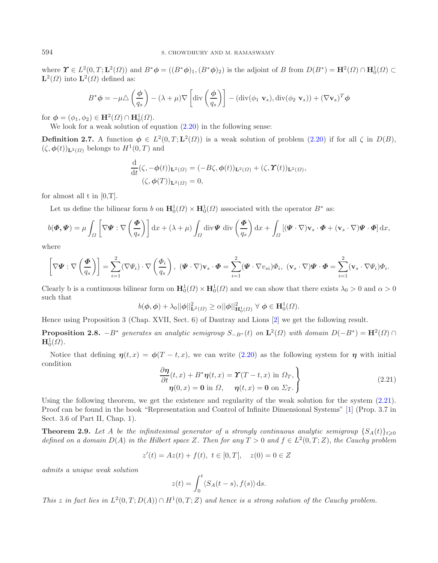where  $\Upsilon \in L^2(0,T; \mathbf{L}^2(\Omega))$  and  $B^*\phi = ((B^*\phi)_1, (B^*\phi)_2)$  is the adjoint of B from  $D(B^*) = \mathbf{H}^2(\Omega) \cap \mathbf{H}_0^1(\Omega) \subset$  $\mathbf{L}^2(\Omega)$  into  $\mathbf{L}^2(\Omega)$  defined as:

$$
B^*\phi = -\mu \Delta \left(\frac{\phi}{q_s}\right) - (\lambda + \mu)\nabla \left[\text{div}\left(\frac{\phi}{q_s}\right)\right] - (\text{div}(\phi_1 \mathbf{v}_s), \text{div}(\phi_2 \mathbf{v}_s)) + (\nabla \mathbf{v}_s)^T \phi
$$

for  $\phi = (\phi_1, \phi_2) \in \mathbf{H}^2(\Omega) \cap \mathbf{H}_0^1(\Omega)$ .

We look for a weak solution of equation  $(2.20)$  in the following sense:

**Definition 2.7.** A function  $\phi \in L^2(0,T;\mathbf{L}^2(\Omega))$  is a weak solution of problem [\(2.20\)](#page-6-4) if for all  $\zeta$  in  $D(B)$ ,  $(\zeta, \phi(t))_{L^2(\Omega)}$  belongs to  $H^1(0,T)$  and

$$
\frac{\mathrm{d}}{\mathrm{d}t}(\zeta, -\phi(t))_{\mathbf{L}^2(\Omega)} = (-B\zeta, \phi(t))_{\mathbf{L}^2(\Omega)} + (\zeta, \Upsilon(t))_{\mathbf{L}^2(\Omega)},
$$
  

$$
(\zeta, \phi(T))_{\mathbf{L}^2(\Omega)} = 0,
$$

for almost all  $t$  in  $[0,T]$ .

Let us define the bilinear form b on  $\mathbf{H}_0^1(\Omega) \times \mathbf{H}_0^1(\Omega)$  associated with the operator  $B^*$  as:

$$
b(\boldsymbol{\Phi}, \boldsymbol{\Psi}) = \mu \int_{\Omega} \left[ \nabla \boldsymbol{\Psi} : \nabla \left( \frac{\boldsymbol{\Phi}}{q_s} \right) \right] dx + (\lambda + \mu) \int_{\Omega} \text{div} \boldsymbol{\Psi} \, \text{div} \left( \frac{\boldsymbol{\Phi}}{q_s} \right) dx + \int_{\Omega} \left[ (\boldsymbol{\Psi} \cdot \nabla) \mathbf{v}_s \cdot \boldsymbol{\Phi} + (\mathbf{v}_s \cdot \nabla) \boldsymbol{\Psi} \cdot \boldsymbol{\Phi} \right] dx,
$$

<span id="page-7-0"></span>where

$$
\left[\nabla \Psi : \nabla \left(\frac{\Phi}{q_s}\right)\right] = \sum_{i=1}^2 (\nabla \Psi_i) \cdot \nabla \left(\frac{\Phi_i}{q_s}\right), \quad (\Psi \cdot \nabla) \mathbf{v}_s \cdot \Phi = \sum_{i=1}^2 (\Psi \cdot \nabla v_{si}) \Phi_i, \quad (\mathbf{v}_s \cdot \nabla) \Psi \cdot \Phi = \sum_{i=1}^2 (\mathbf{v}_s \cdot \nabla \Psi_i) \Phi_i.
$$

Clearly b is a continuous bilinear form on  $\mathbf{H}_0^1(\Omega) \times \mathbf{H}_0^1(\Omega)$  and we can show that there exists  $\lambda_0 > 0$  and  $\alpha > 0$ such that

$$
b(\boldsymbol{\phi},\boldsymbol{\phi}) + \lambda_0 ||\boldsymbol{\phi}||^2_{\mathbf{L}^2(\Omega)} \ge \alpha ||\boldsymbol{\phi}||^2_{\mathbf{H}_0^1(\Omega)} \ \forall \ \boldsymbol{\phi} \in \mathbf{H}_0^1(\Omega).
$$

<span id="page-7-1"></span>Hence using Proposition 3 (Chap. XVII, Sect. 6) of Dautray and Lions [\[2\]](#page-28-8) we get the following result.

**Proposition 2.8.** −B<sup>\*</sup> *generates an analytic semigroup*  $S_{-B^*}(t)$  *on*  $\mathbf{L}^2(\Omega)$  *with domain*  $D(-B^*) = \mathbf{H}^2(\Omega) \cap$  $\mathbf{H}_0^1(\Omega)$ .

Notice that defining  $\eta(t, x) = \phi(T - t, x)$ , we can write [\(2.20\)](#page-6-4) as the following system for  $\eta$  with initial condition

$$
\frac{\partial \eta}{\partial t}(t, x) + B^* \eta(t, x) = \Upsilon(T - t, x) \text{ in } \Omega_T, \n\eta(0, x) = 0 \text{ in } \Omega, \quad \eta(t, x) = 0 \text{ on } \Sigma_T.
$$
\n(2.21)

Using the following theorem, we get the existence and regularity of the weak solution for the system [\(2.21\)](#page-7-0). Proof can be found in the book "Representation and Control of Infinite Dimensional Systems" [\[1\]](#page-28-9) (Prop. 3.7 in Sect. 3.6 of Part II, Chap. 1).

**Theorem 2.9.** Let A be the infinitesimal generator of a strongly continuous analytic semigroup  $\{S_A(t)\}_{t\geqslant 0}$ *defined on a domain*  $D(A)$  *in the Hilbert space* Z. Then for any  $T > 0$  and  $f \in L^2(0, T; Z)$ , the Cauchy problem

$$
z'(t) = Az(t) + f(t), \ t \in [0, T], \quad z(0) = 0 \in Z
$$

*admits a unique weak solution*

$$
z(t) = \int_0^t \langle S_A(t-s), f(s) \rangle \,ds.
$$

*This* z in fact lies in  $L^2(0,T;D(A)) \cap H^1(0,T;Z)$  and hence is a strong solution of the Cauchy problem.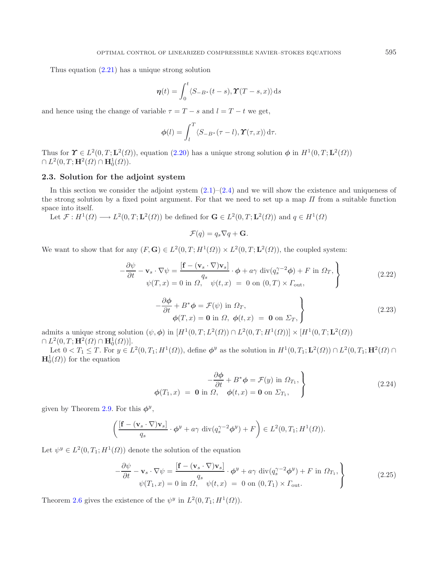Thus equation [\(2.21\)](#page-7-0) has a unique strong solution

$$
\boldsymbol{\eta}(t) = \int_0^t \langle S_{-B^*}(t-s), \boldsymbol{\Upsilon}(T-s,x) \rangle \, \mathrm{d}s
$$

and hence using the change of variable  $\tau = T - s$  and  $l = T - t$  we get,

$$
\phi(l) = \int_l^T \langle S_{-B^*}(\tau - l), \Upsilon(\tau, x) \rangle \, \mathrm{d}\tau.
$$

Thus for  $\Upsilon \in L^2(0,T; \mathbf{L}^2(\Omega))$ , equation [\(2.20\)](#page-6-4) has a unique strong solution  $\phi$  in  $H^1(0,T; \mathbf{L}^2(\Omega))$  $\cap$   $L^2(0,T; \mathbf{H}^2(\Omega) \cap \mathbf{H}_0^1(\Omega)).$ 

## **2.3. Solution for the adjoint system**

In this section we consider the adjoint system  $(2.1)$ – $(2.4)$  and we will show the existence and uniqueness of the strong solution by a fixed point argument. For that we need to set up a map  $\Pi$  from a suitable function space into itself.

Let  $\mathcal{F}: H^1(\Omega) \longrightarrow L^2(0,T;\mathbf{L}^2(\Omega))$  be defined for  $\mathbf{G} \in L^2(0,T;\mathbf{L}^2(\Omega))$  and  $q \in H^1(\Omega)$ 

$$
\mathcal{F}(q) = q_s \nabla q + \mathbf{G}.
$$

<span id="page-8-0"></span>We want to show that for any  $(F, G) \in L^2(0, T; H^1(\Omega)) \times L^2(0, T; L^2(\Omega))$ , the coupled system:

$$
-\frac{\partial \psi}{\partial t} - \mathbf{v}_s \cdot \nabla \psi = \frac{\left[\mathbf{f} - (\mathbf{v}_s \cdot \nabla)\mathbf{v}_s\right]}{\psi(T, x)} \cdot \phi + a\gamma \operatorname{div}(q_s^{\gamma - 2}\phi) + F \text{ in } \Omega_T, \n\psi(T, x) = 0 \text{ in } \Omega, \quad \psi(t, x) = 0 \text{ on } (0, T) \times \Gamma_{\text{out}},
$$
\n(2.22)

$$
-\frac{\partial \phi}{\partial t} + B^* \phi = \mathcal{F}(\psi) \text{ in } \Omega_T, \phi(T, x) = \mathbf{0} \text{ in } \Omega, \phi(t, x) = \mathbf{0} \text{ on } \Sigma_T,
$$
\n(2.23)

admits a unique strong solution  $(\psi, \phi)$  in  $[H^1(0, T; L^2(\Omega)) \cap L^2(0, T; H^1(\Omega))] \times [H^1(0, T; L^2(\Omega))$  $\cap$   $L^2(0,T; \mathbf{H}^2(\Omega) \cap \mathbf{H}_0^1(\Omega))$ .

Let  $0 < T_1 \leq T$ . For  $y \in L^2(0, T_1; H^1(\Omega))$ , define  $\phi^y$  as the solution in  $H^1(0, T_1; \mathbf{L}^2(\Omega)) \cap L^2(0, T_1; \mathbf{H}^2(\Omega) \cap$  $\mathbf{H}_0^1(\Omega)$  for the equation

<span id="page-8-1"></span>
$$
\phi(T_1, x) = \mathbf{0} \text{ in } \Omega, \quad \phi(t, x) = \mathbf{0} \text{ on } \Sigma_{T_1},
$$
\n
$$
\phi(T_1, x) = \mathbf{0} \text{ in } \Omega, \quad \phi(t, x) = \mathbf{0} \text{ on } \Sigma_{T_1}, \quad (2.24)
$$

given by Theorem [2.9.](#page-7-1) For this  $\phi^y$ ,

$$
\left(\frac{\left[\mathbf{f}-(\mathbf{v}_s\cdot\nabla)\mathbf{v}_s\right]}{q_s}\cdot\boldsymbol{\phi}^y+a\gamma\,\operatorname{div}(q_s^{\gamma-2}\boldsymbol{\phi}^y)+F\right)\in L^2(0,T_1;H^1(\Omega)).
$$

Let  $\psi^y \in L^2(0,T_1; H^1(\Omega))$  denote the solution of the equation

$$
-\frac{\partial \psi}{\partial t} - \mathbf{v}_s \cdot \nabla \psi = \frac{\left[\mathbf{f} - (\mathbf{v}_s \cdot \nabla) \mathbf{v}_s\right]}{q_s} \cdot \phi^y + a\gamma \operatorname{div}(q_s^{\gamma - 2} \phi^y) + F \text{ in } \Omega_{T_1},
$$
  

$$
\psi(T_1, x) = 0 \text{ in } \Omega, \quad \psi(t, x) = 0 \text{ on } (0, T_1) \times \Gamma_{\text{out}}.
$$
 (2.25)

Theorem [2.6](#page-6-0) gives the existence of the  $\psi^y$  in  $L^2(0,T_1;H^1(\Omega))$ .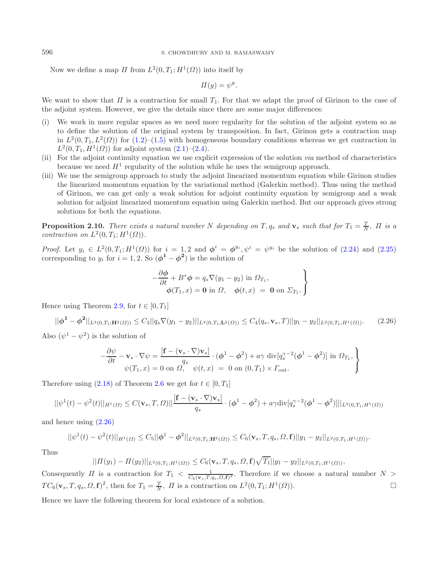Now we define a map  $\Pi$  from  $L^2(0,T_1;H^1(\Omega))$  into itself by

$$
\Pi(y) = \psi^y.
$$

We want to show that  $\Pi$  is a contraction for small  $T_1$ . For that we adapt the proof of Girinon to the case of the adjoint system. However, we give the details since there are some major differences:

- (i) We work in more regular spaces as we need more regularity for the solution of the adjoint system so as to define the solution of the original system by transposition. In fact, Girinon gets a contraction map in  $L^2(0,T_1,L^2(\Omega))$  for  $(1.2)-(1.5)$  $(1.2)-(1.5)$  $(1.2)-(1.5)$  with homogeneous boundary conditions whereas we get contraction in  $L^2(0, T_1, H^1(\Omega))$  for adjoint system  $(2.1)$ – $(2.4)$ .
- (ii) For the adjoint continuity equation we use explicit expression of the solution *via* method of characteristics because we need  $H^1$  regularity of the solution while he uses the semigroup approach.
- <span id="page-9-0"></span>(iii) We use the semigroup approach to study the adjoint linearized momentum equation while Girinon studies the linearized momentum equation by the variational method (Galerkin method). Thus using the method of Girinon, we can get only a weak solution for adjoint continuity equation by semigroup and a weak solution for adjoint linearized momentum equation using Galerkin method. But our approach gives strong solutions for both the equations.

**Proposition 2.10.** *There exists a natural number* N *depending on* T,  $q_s$  *and*  $\mathbf{v}_s$  *such that for*  $T_1 = \frac{T}{N}$ ,  $\Pi$  *is a contraction on*  $L^2(0,T_1;H^1(\Omega))$ .

*Proof.* Let  $y_i \in L^2(0, T_1; H^1(\Omega))$  for  $i = 1, 2$  and  $\phi^i = \phi^{y_i}, \psi^i = \psi^{y_i}$  be the solution of [\(2.24\)](#page-8-0) and [\(2.25\)](#page-8-1) corresponding to  $y_i$  for  $i = 1, 2$ . So  $(\phi^1 - \phi^2)$  is the solution of

$$
-\frac{\partial \phi}{\partial t} + B^* \phi = q_s \nabla (y_1 - y_2) \text{ in } \Omega_{T_1},
$$
  

$$
\phi(T_1, x) = \mathbf{0} \text{ in } \Omega, \quad \phi(t, x) = \mathbf{0} \text{ on } \Sigma_{T_1}.
$$

Hence using Theorem [2.9,](#page-7-1) for  $t \in [0, T_1]$ 

$$
||\phi^1 - \phi^2||_{L^2(0,T_1; \mathbf{H}^2(\Omega))} \le C_3||q_s \nabla(y_1 - y_2)||_{L^2(0,T_1; \mathbf{L}^2(\Omega))} \le C_4(q_s, \mathbf{v}_s, T)||y_1 - y_2||_{L^2(0,T_1; H^1(\Omega))}. \tag{2.26}
$$

Also  $(\psi^1 - \psi^2)$  is the solution of

$$
-\frac{\partial \psi}{\partial t} - \mathbf{v}_s \cdot \nabla \psi = \frac{[\mathbf{f} - (\mathbf{v}_s \cdot \nabla) \mathbf{v}_s]}{q_s} \cdot (\boldsymbol{\phi}^1 - \boldsymbol{\phi}^2) + a\gamma \operatorname{div}[q_s^{\gamma - 2}(\boldsymbol{\phi}^1 - \boldsymbol{\phi}^2)] \text{ in } \Omega_{T_1},
$$
  

$$
\psi(T_1, x) = 0 \text{ on } \Omega, \quad \psi(t, x) = 0 \text{ on } (0, T_1) \times \Gamma_{\text{out}}.
$$

Therefore using  $(2.18)$  of Theorem [2.6](#page-6-0) we get for  $t \in [0, T_1]$ 

$$
||\psi^{1}(t) - \psi^{2}(t)||_{H^{1}(\Omega)} \leq C(\mathbf{v}_{s}, T, \Omega)||\frac{[\mathbf{f} - (\mathbf{v}_{s} \cdot \nabla)\mathbf{v}_{s}]}{q_{s}} \cdot (\phi^{1} - \phi^{2}) + a\gamma \text{div}[q_{s}^{\gamma - 2}(\phi^{1} - \phi^{2})]||_{L^{2}(0, T_{1}; H^{1}(\Omega))}
$$

and hence using [\(2.26\)](#page-9-0)

$$
||\psi^1(t) - \psi^2(t)||_{H^1(\Omega)} \leq C_5 ||\phi^1 - \phi^2||_{L^2(0,T_1; \mathbf{H}^2(\Omega))} \leq C_6(\mathbf{v}_s, T, q_s, \Omega, \mathbf{f})||y_1 - y_2||_{L^2(0,T_1; H^1(\Omega))}.
$$

Thus

$$
||\Pi(y_1) - \Pi(y_2)||_{L^2(0,T_1;H^1(\Omega))} \leq C_6(\mathbf{v}_s,T,q_s,\Omega,\mathbf{f})\sqrt{T_1}||y_1 - y_2||_{L^2(0,T_1;H^1(\Omega))}.
$$

Consequently  $\Pi$  is a contraction for  $T_1 < \frac{1}{C_6(\mathbf{v}_s,T,q_s,\Omega,\mathbf{f})^2}$ . Therefore if we choose a natural number  $N >$  $TC_6(\mathbf{v}_s, T, q_s, \Omega, \mathbf{f})^2$ , then for  $T_1 = \frac{T}{N}$ ,  $\Pi$  is a contraction on  $L^2(0, T_1; H^1(\Omega))$ .

Hence we have the following theorem for local existence of a solution.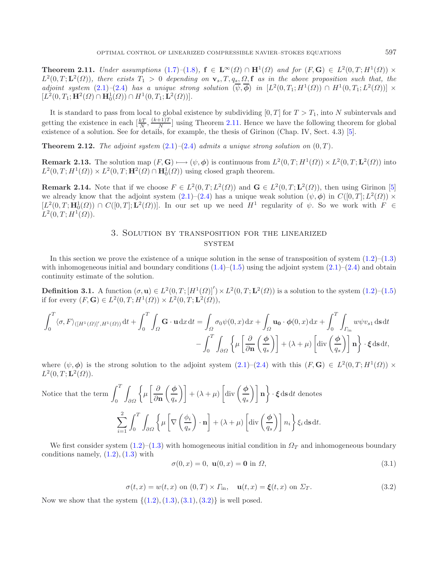<span id="page-10-6"></span><span id="page-10-0"></span>**Theorem 2.11.** *Under assumptions* [\(1.7\)](#page-1-2)–[\(1.8\)](#page-1-2),  $f \in L^{\infty}(\Omega) \cap H^{1}(\Omega)$  *and for* (*F, G*)  $\in L^{2}(0,T;H^{1}(\Omega)) \times$  $L^2(0,T;\mathbf{L}^2(\Omega))$ , there exists  $T_1 > 0$  depending on  $\mathbf{v}_s$ ,  $T, q_s, \Omega$ , **f** as in the above proposition such that, the *adjoint system*  $(2.1)–(2.4)$  $(2.1)–(2.4)$  $(2.1)–(2.4)$  *has a unique strong solution*  $(\overline{\psi}, \overline{\phi})$  *in*  $[L^2(0,T_1; H^1(\Omega)) \cap H^1(0,T_1; L^2(\Omega))] \times$  $[L^2(0, T_1; \mathbf{H}^2(\Omega) \cap \mathbf{H}_0^1(\Omega)) \cap H^1(0, T_1; \mathbf{L}^2(\Omega))].$ 

It is standard to pass from local to global existence by subdividing  $[0, T]$  for  $T > T_1$ , into N subintervals and getting the existence in each  $\left[\frac{kT}{N}, \frac{(k+1)T}{N}\right]$  using Theorem [2.11.](#page-10-0) Hence we have the following theorem for global existence of a solution. See for details, for example, the thesis of Girinon (Chap. IV, Sect. 4.3) [\[5\]](#page-28-0).

<span id="page-10-3"></span>**Theorem 2.12.** *The adjoint system*  $(2.1)$ *–* $(2.4)$  *admits a unique strong solution on*  $(0, T)$ *.* 

<span id="page-10-4"></span>**Remark 2.13.** The solution map  $(F, \mathbf{G}) \longrightarrow (\psi, \phi)$  is continuous from  $L^2(0,T; H^1(\Omega)) \times L^2(0,T; \mathbf{L}^2(\Omega))$  into  $L^2(0, T; H^1(\Omega)) \times L^2(0, T; \mathbf{H}^2(\Omega) \cap \mathbf{H}_0^1(\Omega))$  using closed graph theorem.

**Remark 2.14.** Note that if we choose  $F \in L^2(0,T; L^2(\Omega))$  and  $\mathbf{G} \in L^2(0,T; \mathbf{L}^2(\Omega))$ , then using Girinon [\[5\]](#page-28-0) we already know that the adjoint system  $(2.1)$ – $(2.4)$  has a unique weak solution  $(\psi, \phi)$  in  $C([0, T]; L<sup>2</sup>(\Omega)) \times$  $[L^2(0,T; \mathbf{H}_0^1(\Omega)) \cap C([0,T]; \mathbf{L}^2(\Omega))]$ . In our set up we need  $H^1$  regularity of  $\psi$ . So we work with  $F \in$  $L^2(0, T; H^1(\Omega)).$ 

## 3. Solution by transposition for the linearized **SYSTEM**

In this section we prove the existence of a unique solution in the sense of transposition of system  $(1.2)$ – $(1.3)$ with inhomogeneous initial and boundary conditions  $(1.4)$ – $(1.5)$  using the adjoint system  $(2.1)$ – $(2.4)$  and obtain continuity estimate of the solution.

**Definition 3.1.** A function  $(\sigma, \mathbf{u}) \in L^2(0,T; [H^1(\Omega)]') \times L^2(0,T; \mathbf{L}^2(\Omega))$  is a solution to the system  $(1.2)$ – $(1.5)$ if for every  $(F, G) \in L^2(0, T; H^1(\Omega)) \times L^2(0, T; L^2(\Omega)),$ 

$$
\int_0^T \langle \sigma, F \rangle_{([H^1(\Omega)]', H^1(\Omega))} \mathrm{d}t + \int_0^T \int_{\Omega} \mathbf{G} \cdot \mathbf{u} \, \mathrm{d}x \, \mathrm{d}t = \int_{\Omega} \sigma_0 \psi(0, x) \, \mathrm{d}x + \int_{\Omega} \mathbf{u}_0 \cdot \phi(0, x) \, \mathrm{d}x + \int_0^T \int_{\Gamma_{\text{in}}} w \psi v_{s1} \, \mathrm{d}s \, \mathrm{d}t - \int_0^T \int_{\partial \Omega} \left\{ \mu \left[ \frac{\partial}{\partial \mathbf{n}} \left( \frac{\phi}{q_s} \right) \right] + (\lambda + \mu) \left[ \text{div} \left( \frac{\phi}{q_s} \right) \right] \mathbf{n} \right\} \cdot \xi \, \mathrm{d}s \, \mathrm{d}t,
$$

<span id="page-10-2"></span><span id="page-10-1"></span>where  $(\psi, \phi)$  is the strong solution to the adjoint system  $(2.1)$ – $(2.4)$  with this  $(F, G) \in L^2(0, T; H^1(\Omega)) \times$  $L^2(0,T;\mathbf{L}^2(\Omega)).$ 

Notice that the term 
$$
\int_0^T \int_{\partial \Omega} \left\{ \mu \left[ \frac{\partial}{\partial \mathbf{n}} \left( \frac{\phi}{q_s} \right) \right] + (\lambda + \mu) \left[ \text{div} \left( \frac{\phi}{q_s} \right) \right] \mathbf{n} \right\} \cdot \xi \, \text{d}s \, \text{d}t \, \text{denotes}
$$

$$
\sum_{i=1}^2 \int_0^T \int_{\partial \Omega} \left\{ \mu \left[ \nabla \left( \frac{\phi_i}{q_s} \right) \cdot \mathbf{n} \right] + (\lambda + \mu) \left[ \text{div} \left( \frac{\phi}{q_s} \right) \right] n_i \right\} \xi_i \, \text{d}s \, \text{d}t.
$$

We first consider system  $(1.2)$ – $(1.3)$  with homogeneous initial condition in  $\Omega_T$  and inhomogeneous boundary conditions namely,  $(1.2)$ ,  $(1.3)$  with

<span id="page-10-5"></span>
$$
\sigma(0, x) = 0, \mathbf{u}(0, x) = \mathbf{0} \text{ in } \Omega,
$$
\n
$$
(3.1)
$$

$$
\sigma(t,x) = w(t,x) \text{ on } (0,T) \times \Gamma_{\text{in}}, \quad \mathbf{u}(t,x) = \xi(t,x) \text{ on } \Sigma_T. \tag{3.2}
$$

Now we show that the system  $\{(1.2), (1.3), (3.1), (3.2)\}\)$  $\{(1.2), (1.3), (3.1), (3.2)\}\)$  $\{(1.2), (1.3), (3.1), (3.2)\}\)$  $\{(1.2), (1.3), (3.1), (3.2)\}\)$  $\{(1.2), (1.3), (3.1), (3.2)\}\)$  $\{(1.2), (1.3), (3.1), (3.2)\}\)$  $\{(1.2), (1.3), (3.1), (3.2)\}\)$  $\{(1.2), (1.3), (3.1), (3.2)\}\)$  $\{(1.2), (1.3), (3.1), (3.2)\}\)$  is well posed.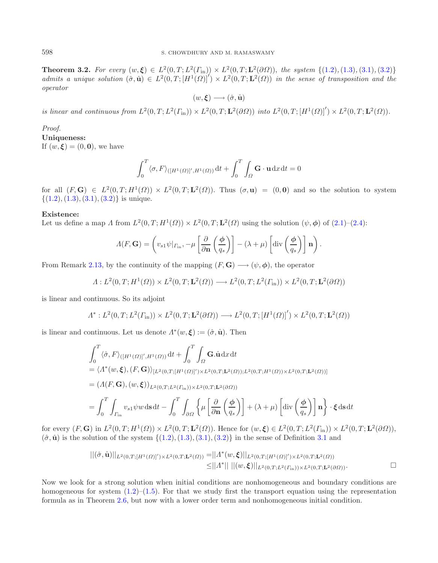**Theorem 3.2.** For every  $(w, \xi) \in L^2(0, T; L^2(\Gamma_{\text{in}})) \times L^2(0, T; \mathbf{L}^2(\partial \Omega))$ , the system  $\{(1.2), (1.3), (3.1), (3.2)\}$  $\{(1.2), (1.3), (3.1), (3.2)\}$  $\{(1.2), (1.3), (3.1), (3.2)\}$  $\{(1.2), (1.3), (3.1), (3.2)\}$  $\{(1.2), (1.3), (3.1), (3.2)\}$  $\{(1.2), (1.3), (3.1), (3.2)\}$  $\{(1.2), (1.3), (3.1), (3.2)\}$  $\{(1.2), (1.3), (3.1), (3.2)\}$  $\{(1.2), (1.3), (3.1), (3.2)\}$  $admits a unique solution  $(\hat{\sigma}, \hat{\mathbf{u}}) \in L^2(0,T; [H^1(\Omega)]') \times L^2(0,T; \mathbf{L}^2(\Omega))$  in the sense of transposition and the$ *operator*

$$
(w,\pmb{\xi}) \longrightarrow (\hat{\sigma},\hat{\mathbf{u}})
$$

*is linear and continuous from*  $L^2(0,T; L^2(\Gamma_{\rm in})) \times L^2(0,T; \mathbf{L}^2(\partial \Omega))$  *into*  $L^2(0,T; [H^1(\Omega)]') \times L^2(0,T; \mathbf{L}^2(\Omega))$ *.* 

*Proof.*

**Uniqueness:** If  $(w, \xi) = (0, 0)$ , we have

$$
\int_0^T \langle \sigma, F \rangle_{([H^1(\Omega)]', H^1(\Omega))} \, \mathrm{d}t + \int_0^T \int_{\Omega} \mathbf{G} \cdot \mathbf{u} \, \mathrm{d}x \, \mathrm{d}t = 0
$$

for all  $(F, G) \in L^2(0,T; H^1(\Omega)) \times L^2(0,T; L^2(\Omega))$ . Thus  $(\sigma, \mathbf{u}) = (0,0)$  and so the solution to system  $\{(1.2), (1.3), (3.1), (3.2)\}\$  $\{(1.2), (1.3), (3.1), (3.2)\}\$  $\{(1.2), (1.3), (3.1), (3.2)\}\$  $\{(1.2), (1.3), (3.1), (3.2)\}\$  $\{(1.2), (1.3), (3.1), (3.2)\}\$  $\{(1.2), (1.3), (3.1), (3.2)\}\$  $\{(1.2), (1.3), (3.1), (3.2)\}\$  $\{(1.2), (1.3), (3.1), (3.2)\}\$  $\{(1.2), (1.3), (3.1), (3.2)\}\$ is unique.

### **Existence:**

Let us define a map  $\Lambda$  from  $L^2(0,T;H^1(\Omega)) \times L^2(0,T;\mathbf{L}^2(\Omega))$  using the solution  $(\psi,\phi)$  of  $(2.1)-(2.4)$  $(2.1)-(2.4)$  $(2.1)-(2.4)$ :

$$
\Lambda(F, \mathbf{G}) = \left(v_{s1}\psi|_{\Gamma_{\text{in}}}, -\mu\left[\frac{\partial}{\partial \mathbf{n}}\left(\frac{\phi}{q_s}\right)\right] - (\lambda + \mu)\left[\text{div}\left(\frac{\phi}{q_s}\right)\right]\mathbf{n}\right).
$$

From Remark [2.13,](#page-10-3) by the continuity of the mapping  $(F, G) \longrightarrow (\psi, \phi)$ , the operator

$$
\Lambda: L^2(0,T;H^1(\Omega)) \times L^2(0,T;{\bf L}^2(\Omega)) \longrightarrow L^2(0,T;L^2(\varGamma_{\rm in})) \times L^2(0,T;{\bf L}^2(\partial\Omega))
$$

is linear and continuous. So its adjoint

$$
\Lambda^*: L^2(0,T; L^2(\Gamma_{\rm in})) \times L^2(0,T; \mathbf{L}^2(\partial \Omega)) \longrightarrow L^2(0,T; [H^1(\Omega)]') \times L^2(0,T; \mathbf{L}^2(\Omega))
$$

is linear and continuous. Let us denote  $\Lambda^*(w, \xi) := (\hat{\sigma}, \hat{\mathbf{u}})$ . Then

<span id="page-11-0"></span>
$$
\int_0^T \langle \hat{\sigma}, F \rangle_{([H^1(\Omega)]', H^1(\Omega))} dt + \int_0^T \int_{\Omega} \mathbf{G}.\hat{\mathbf{u}} \, dx dt
$$
\n
$$
= \langle \Lambda^*(w, \xi), (F, \mathbf{G}) \rangle_{[L^2(0, T; [H^1(\Omega)]') \times L^2(0, T; \mathbf{L}^2(\Omega)); L^2(0, T; H^1(\Omega)) \times L^2(0, T; \mathbf{L}^2(\Omega))]}
$$
\n
$$
= (\Lambda(F, \mathbf{G}), (w, \xi))_{L^2(0, T; L^2(T_{\text{in}})) \times L^2(0, T; \mathbf{L}^2(\partial \Omega))}
$$
\n
$$
= \int_0^T \int_{\Gamma_{\text{in}}} v_{s1} \psi w \, ds \, dt - \int_0^T \int_{\partial \Omega} \left\{ \mu \left[ \frac{\partial}{\partial \mathbf{n}} \left( \frac{\phi}{q_s} \right) \right] + (\lambda + \mu) \left[ \text{div} \left( \frac{\phi}{q_s} \right) \right] \mathbf{n} \right\} \cdot \xi \, ds \, dt
$$

for every  $(F, G)$  in  $L^2(0,T; H^1(\Omega)) \times L^2(0,T; L^2(\Omega))$ . Hence for  $(w, \xi) \in L^2(0,T; L^2(\Gamma_{\text{in}})) \times L^2(0,T; L^2(\partial \Omega)),$  $(\hat{\sigma}, \hat{\mathbf{u}})$  is the solution of the system  $\{(1,2), (1,3), (3,1), (3,2)\}\$  in the sense of Definition [3.1](#page-10-4) and

$$
||(\hat{\sigma}, \hat{\mathbf{u}})||_{L^{2}(0,T;[H^{1}(\Omega)]')\times L^{2}(0,T;L^{2}(\Omega))} = ||\Lambda^{*}(w,\xi)||_{L^{2}(0,T;[H^{1}(\Omega)]')\times L^{2}(0,T;L^{2}(\Omega))}
$$
  
\n
$$
\leq ||\Lambda^{*}|| \ ||(w,\xi)||_{L^{2}(0,T;L^{2}(T_{in}))\times L^{2}(0,T;L^{2}(\partial\Omega))}.
$$

Now we look for a strong solution when initial conditions are nonhomogeneous and boundary conditions are homogeneous for system  $(1.2)$ – $(1.5)$ . For that we study first the transport equation using the representation formula as in Theorem [2.6,](#page-6-0) but now with a lower order term and nonhomogeneous initial condition.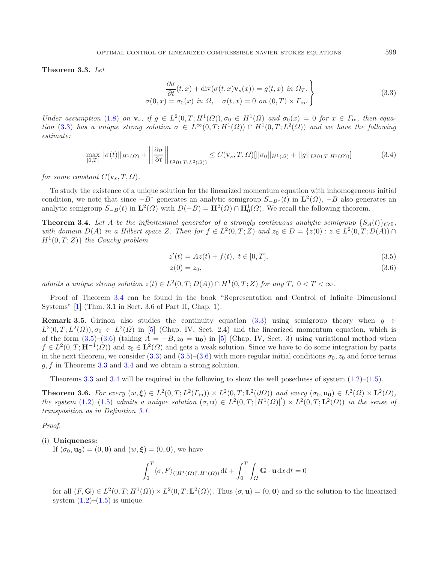<span id="page-12-0"></span>**Theorem 3.3.** *Let*

$$
\frac{\partial \sigma}{\partial t}(t, x) + \text{div}(\sigma(t, x)\mathbf{v}_s(x)) = g(t, x) \text{ in } \Omega_T, \n\sigma(0, x) = \sigma_0(x) \text{ in } \Omega, \quad \sigma(t, x) = 0 \text{ on } (0, T) \times \Gamma_{\text{in}}.
$$
\n(3.3)

*Under assumption* [\(1.8\)](#page-1-2) *on*  $\mathbf{v}_s$ , if  $g \in L^2(0,T;H^1(\Omega))$ ,  $\sigma_0 \in H^1(\Omega)$  and  $\sigma_0(x) = 0$  for  $x \in \Gamma_{\text{in}}$ , then equa*tion* [\(3.3\)](#page-12-0) *has a unique strong solution*  $\sigma \in L^{\infty}(0,T;H^{1}(\Omega)) \cap H^{1}(0,T;L^{2}(\Omega))$  *and we have the following estimate:*

$$
\max_{[0,T]} ||\sigma(t)||_{H^1(\Omega)} + \left\| \frac{\partial \sigma}{\partial t} \right\|_{L^2(0,T;L^2(\Omega))} \le C(\mathbf{v}_s, T, \Omega) [||\sigma_0||_{H^1(\Omega)} + ||g||_{L^2(0,T;H^1(\Omega))}] \tag{3.4}
$$

*for some constant*  $C(\mathbf{v}_s,T,\Omega)$ *.* 

To study the existence of a unique solution for the linearized momentum equation with inhomogeneous initial condition, we note that since  $-B^*$  generates an analytic semigroup  $S_{-B^*}(t)$  in  $\mathbf{L}^2(\Omega)$ ,  $-B$  also generates an analytic semigroup  $S_{-B}(t)$  in  $\mathbf{L}^2(\Omega)$  with  $D(-B) = \mathbf{H}^2(\Omega) \cap \mathbf{H}^1_0(\Omega)$ . We recall the following theorem.

**Theorem 3.4.** Let A be the infinitesimal generator of a strongly continuous analytic semigroup  $\{S_A(t)\}_{t\geqslant0}$ , *with domain*  $D(A)$  *in a Hilbert space* Z. Then for  $f \in L^2(0,T;Z)$  and  $z_0 \in D = \{z(0): z \in L^2(0,T;D(A)) \cap L^2(0,T;D(A))\}$  $H^1(0,T;Z)$  *the Cauchy problem* 

<span id="page-12-2"></span>
$$
z'(t) = Az(t) + f(t), \ t \in [0, T], \tag{3.5}
$$

$$
z(0) = z_0,\t\t(3.6)
$$

*admits a unique strong solution*  $z(t) \in L^2(0,T;D(A)) \cap H^1(0,T;Z)$  *for any*  $T, 0 < T < \infty$ *.* 

Proof of Theorem [3.4](#page-12-1) can be found in the book "Representation and Control of Infinite Dimensional Systems" [\[1](#page-28-9)] (Thm. 3.1 in Sect. 3.6 of Part II, Chap. 1).

**Remark 3.5.** Girinon also studies the continuity equation [\(3.3\)](#page-12-0) using semigroup theory when  $q \in \mathbb{R}$  $L^2(0,T;L^2(\Omega))$ ,  $\sigma_0 \in L^2(\Omega)$  in [\[5\]](#page-28-0) (Chap. IV, Sect. 2.4) and the linearized momentum equation, which is of the form  $(3.5)-(3.6)$  $(3.5)-(3.6)$  $(3.5)-(3.6)$  (taking  $A = -B$ ,  $z_0 = \mathbf{u_0}$ ) in [\[5\]](#page-28-0) (Chap. IV, Sect. 3) using variational method when  $f \in L^2(0,T; \mathbf{H}^{-1}(\Omega))$  and  $z_0 \in \mathbf{L}^2(\Omega)$  and gets a weak solution. Since we have to do some integration by parts in the next theorem, we consider [\(3.3\)](#page-12-0) and [\(3.5\)](#page-12-2)–[\(3.6\)](#page-12-2) with more regular initial conditions  $\sigma_0$ ,  $z_0$  and force terms g, f in Theorems [3.3](#page-11-0) and [3.4](#page-12-1) and we obtain a strong solution.

Theorems [3.3](#page-11-0) and [3.4](#page-12-1) will be required in the following to show the well posedness of system  $(1.2)$ – $(1.5)$ .

**Theorem 3.6.** *For every*  $(w, \xi) \in L^2(0, T; L^2(\Gamma_{\text{in}})) \times L^2(0, T; \mathbf{L}^2(\partial \Omega))$  *and every*  $(\sigma_0, \mathbf{u_0}) \in L^2(\Omega) \times \mathbf{L}^2(\Omega)$ , *the system* [\(1.2\)](#page-1-0)–[\(1.5\)](#page-1-1) *admits a unique solution*  $(\sigma, \mathbf{u}) \in L^2(0,T; [H^1(\Omega)]') \times L^2(0,T; \mathbf{L}^2(\Omega))$  *in the sense of transposition as in Definition [3.1.](#page-10-4)*

*Proof.*

(i) **Uniqueness:**

If  $(\sigma_0, \mathbf{u_0}) = (0, 0)$  and  $(w, \xi) = (0, 0)$ , we have

$$
\int_0^T \langle \sigma, F \rangle_{([H^1(\Omega)]', H^1(\Omega))} \, \mathrm{d}t + \int_0^T \int_{\Omega} \mathbf{G} \cdot \mathbf{u} \, \mathrm{d}x \, \mathrm{d}t = 0
$$

for all  $(F, G) \in L^2(0, T; H^1(\Omega)) \times L^2(0, T; L^2(\Omega))$ . Thus  $(\sigma, \mathbf{u}) = (0, \mathbf{0})$  and so the solution to the linearized system  $(1.2)$ – $(1.5)$  is unique.

<span id="page-12-1"></span>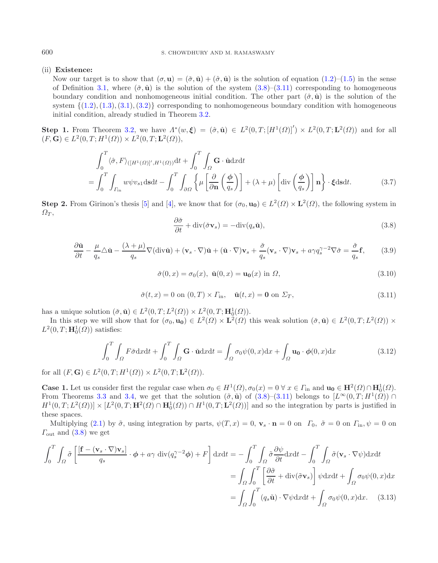## (ii) **Existence:**

Now our target is to show that  $(\sigma, \mathbf{u}) = (\check{\sigma}, \check{\mathbf{u}}) + (\hat{\sigma}, \hat{\mathbf{u}})$  is the solution of equation  $(1.2)$ – $(1.5)$  in the sense of Definition [3.1,](#page-10-4) where  $(\check{\sigma}, \check{\mathbf{u}})$  is the solution of the system  $(3.8)$ – $(3.11)$  corresponding to homogeneous boundary condition and nonhomogeneous initial condition. The other part  $(\hat{\sigma}, \hat{\mathbf{u}})$  is the solution of the system  $\{(1.2), (1.3), (3.1), (3.2)\}\)$  $\{(1.2), (1.3), (3.1), (3.2)\}\)$  $\{(1.2), (1.3), (3.1), (3.2)\}\)$  $\{(1.2), (1.3), (3.1), (3.2)\}\)$  $\{(1.2), (1.3), (3.1), (3.2)\}\)$  $\{(1.2), (1.3), (3.1), (3.2)\}\)$  $\{(1.2), (1.3), (3.1), (3.2)\}\)$  $\{(1.2), (1.3), (3.1), (3.2)\}\)$  $\{(1.2), (1.3), (3.1), (3.2)\}\)$  corresponding to nonhomogeneous boundary condition with homogeneous initial condition, already studied in Theorem [3.2.](#page-10-5)

<span id="page-13-4"></span><span id="page-13-2"></span><span id="page-13-0"></span>**Step 1.** From Theorem [3.2,](#page-10-5) we have  $\Lambda^*(w, \xi) = (\hat{\sigma}, \hat{\mathbf{u}}) \in L^2(0, T; [H^1(\Omega)]') \times L^2(0, T; \mathbf{L}^2(\Omega))$  and for all  $(F, G) \in L^2(0, T; H^1(\Omega)) \times L^2(0, T; L^2(\Omega)),$ 

$$
\int_0^T \langle \hat{\sigma}, F \rangle_{([H^1(\Omega)]', H^1(\Omega))} \mathrm{d}t + \int_0^T \int_{\Omega} \mathbf{G} \cdot \hat{\mathbf{u}} \mathrm{d}x \mathrm{d}t \n= \int_0^T \int_{\Gamma_{\text{in}}} w \psi v_{s1} \mathrm{d}s \mathrm{d}t - \int_0^T \int_{\partial \Omega} \left\{ \mu \left[ \frac{\partial}{\partial \mathbf{n}} \left( \frac{\phi}{q_s} \right) \right] + (\lambda + \mu) \left[ \mathrm{div} \left( \frac{\phi}{q_s} \right) \right] \mathbf{n} \right\} \cdot \xi \mathrm{d}s \mathrm{d}t. \tag{3.7}
$$

**Step 2.** From Girinon's thesis [\[5](#page-28-0)] and [\[4](#page-28-1)], we know that for  $(\sigma_0, \mathbf{u_0}) \in L^2(\Omega) \times L^2(\Omega)$ , the following system in  $\Omega_T$ ,

$$
\frac{\partial \check{\sigma}}{\partial t} + \text{div}(\check{\sigma} \mathbf{v}_s) = -\text{div}(q_s \check{\mathbf{u}}),\tag{3.8}
$$

<span id="page-13-5"></span>
$$
\frac{\partial \check{\mathbf{u}}}{\partial t} - \frac{\mu}{q_s} \Delta \check{\mathbf{u}} - \frac{(\lambda + \mu)}{q_s} \nabla (\text{div}\check{\mathbf{u}}) + (\mathbf{v}_s \cdot \nabla)\check{\mathbf{u}} + (\check{\mathbf{u}} \cdot \nabla)\mathbf{v}_s + \frac{\check{\sigma}}{q_s} (\mathbf{v}_s \cdot \nabla)\mathbf{v}_s + a\gamma q_s^{\gamma - 2} \nabla \check{\sigma} = \frac{\check{\sigma}}{q_s} \mathbf{f},\qquad(3.9)
$$

$$
\check{\sigma}(0,x) = \sigma_0(x), \; \check{\mathbf{u}}(0,x) = \mathbf{u_0}(x) \; \text{in} \; \Omega,
$$
\n
$$
(3.10)
$$

$$
\check{\sigma}(t,x) = 0 \text{ on } (0,T) \times \Gamma_{\text{in}}, \quad \check{\mathbf{u}}(t,x) = \mathbf{0} \text{ on } \Sigma_T,
$$
\n(3.11)

<span id="page-13-1"></span>has a unique solution  $(\check{\sigma}, \check{\mathbf{u}}) \in L^2(0,T; L^2(\Omega)) \times L^2(0,T; \mathbf{H}_0^1(\Omega)).$ 

In this step we will show that for  $(\sigma_0, \mathbf{u_0}) \in L^2(\Omega) \times L^2(\Omega)$  this weak solution  $(\check{\sigma}, \check{\mathbf{u}}) \in L^2(0,T; L^2(\Omega)) \times$  $L^2(0,T; \mathbf{H}_0^1(\Omega))$  satisfies:

$$
\int_0^T \int_{\Omega} F \check{\sigma} \mathrm{d}x \mathrm{d}t + \int_0^T \int_{\Omega} \mathbf{G} \cdot \check{\mathbf{u}} \mathrm{d}x \mathrm{d}t = \int_{\Omega} \sigma_0 \psi(0, x) \mathrm{d}x + \int_{\Omega} \mathbf{u_0} \cdot \phi(0, x) \mathrm{d}x \tag{3.12}
$$

for all  $(F, G) \in L^2(0, T; H^1(\Omega)) \times L^2(0, T; L^2(\Omega)).$ 

**Case 1.** Let us consider first the regular case when  $\sigma_0 \in H^1(\Omega)$ ,  $\sigma_0(x) = 0 \ \forall x \in \Gamma_{\text{in}}$  and  $\mathbf{u_0} \in \mathbf{H}^2(\Omega) \cap \mathbf{H}_0^1(\Omega)$ . From Theorems [3.3](#page-11-0) and [3.4,](#page-12-1) we get that the solution  $(\tilde{\sigma}, \tilde{\mathbf{u}})$  of  $(3.8)$ – $(3.11)$  belongs to  $[L^{\infty}(0, T; H^{1}(\Omega))]$  $H^1(0,T;L^2(\Omega)) \times [L^2(0,T;\mathbf{H}^2(\Omega) \cap \mathbf{H}_0^1(\Omega)) \cap H^1(0,T;\mathbf{L}^2(\Omega))]$  and so the integration by parts is justified in these spaces.

Multiplying [\(2.1\)](#page-3-0) by  $\tilde{\sigma}$ , using integration by parts,  $\psi(T, x) = 0$ ,  $\mathbf{v}_s \cdot \mathbf{n} = 0$  on  $\Gamma_0$ ,  $\tilde{\sigma} = 0$  on  $\Gamma_{\text{in}}$ ,  $\psi = 0$  on  $\Gamma_{\text{out}}$  and  $(3.8)$  we get

<span id="page-13-3"></span>
$$
\int_{0}^{T} \int_{\Omega} \tilde{\sigma} \left[ \frac{[\mathbf{f} - (\mathbf{v}_{s} \cdot \nabla) \mathbf{v}_{s}]}{q_{s}} \cdot \boldsymbol{\phi} + a\gamma \operatorname{div}(q_{s}^{\gamma - 2} \boldsymbol{\phi}) + F \right] dx dt = -\int_{0}^{T} \int_{\Omega} \tilde{\sigma} \frac{\partial \psi}{\partial t} dx dt - \int_{0}^{T} \int_{\Omega} \tilde{\sigma} (\mathbf{v}_{s} \cdot \nabla \psi) dx dt
$$

$$
= \int_{\Omega} \int_{0}^{T} \left[ \frac{\partial \tilde{\sigma}}{\partial t} + \operatorname{div}(\tilde{\sigma} \mathbf{v}_{s}) \right] \psi dx dt + \int_{\Omega} \sigma_{0} \psi(0, x) dx
$$

$$
= \int_{\Omega} \int_{0}^{T} (q_{s} \tilde{\mathbf{u}}) \cdot \nabla \psi dx dt + \int_{\Omega} \sigma_{0} \psi(0, x) dx. \quad (3.13)
$$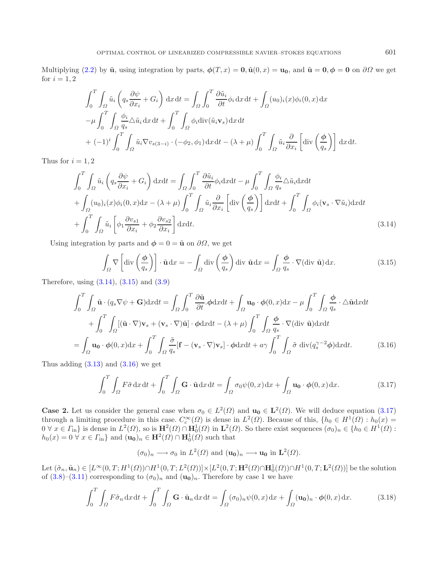Multiplying [\(2.2\)](#page-3-1) by  $\tilde{u}$ , using integration by parts,  $\phi(T, x) = 0$ ,  $\tilde{u}(0, x) = u_0$ , and  $\tilde{u} = 0$ ,  $\phi = 0$  on  $\partial\Omega$  we get for  $i = 1, 2$ 

<span id="page-14-1"></span><span id="page-14-0"></span>
$$
\int_0^T \int_{\Omega} \tilde{u}_i \left( q_s \frac{\partial \psi}{\partial x_i} + G_i \right) dx dt = \int_{\Omega} \int_0^T \frac{\partial \tilde{u}_i}{\partial t} \phi_i dx dt + \int_{\Omega} (u_0)_i(x) \phi_i(0, x) dx
$$
  

$$
-\mu \int_0^T \int_{\Omega} \frac{\phi_i}{q_s} \Delta \tilde{u}_i dx dt + \int_0^T \int_{\Omega} \phi_i \operatorname{div}(\tilde{u}_i \mathbf{v}_s) dx dt
$$
  

$$
+ (-1)^i \int_0^T \int_{\Omega} \tilde{u}_i \nabla v_{s(3-i)} \cdot (-\phi_2, \phi_1) dx dt - (\lambda + \mu) \int_0^T \int_{\Omega} \tilde{u}_i \frac{\partial}{\partial x_i} \left[ \operatorname{div} \left( \frac{\phi}{q_s} \right) \right] dx dt.
$$

Thus for  $i = 1, 2$ 

$$
\int_{0}^{T} \int_{\Omega} \tilde{u}_{i} \left( q_{s} \frac{\partial \psi}{\partial x_{i}} + G_{i} \right) dxdt = \int_{\Omega} \int_{0}^{T} \frac{\partial \tilde{u}_{i}}{\partial t} \phi_{i} dxdt - \mu \int_{0}^{T} \int_{\Omega} \frac{\phi_{i}}{q_{s}} \Delta \tilde{u}_{i} dxdt + \int_{\Omega} (u_{0})_{i}(x) \phi_{i}(0, x) dx - (\lambda + \mu) \int_{0}^{T} \int_{\Omega} \tilde{u}_{i} \frac{\partial}{\partial x_{i}} \left[ \operatorname{div} \left( \frac{\phi}{q_{s}} \right) \right] dxdt + \int_{0}^{T} \int_{\Omega} \phi_{i} (\mathbf{v}_{s} \cdot \nabla \tilde{u}_{i}) dxdt + \int_{0}^{T} \int_{\Omega} \tilde{u}_{i} \left[ \phi_{1} \frac{\partial v_{s1}}{\partial x_{i}} + \phi_{2} \frac{\partial v_{s2}}{\partial x_{i}} \right] dxdt.
$$
\n(3.14)

Using integration by parts and  $\phi = 0 = \tilde{u}$  on  $\partial\Omega$ , we get

<span id="page-14-3"></span>
$$
\int_{\Omega} \nabla \left[ \operatorname{div} \left( \frac{\phi}{q_s} \right) \right] \cdot \tilde{\mathbf{u}} \, dx = - \int_{\Omega} \operatorname{div} \left( \frac{\phi}{q_s} \right) \operatorname{div} \tilde{\mathbf{u}} \, dx = \int_{\Omega} \frac{\phi}{q_s} \cdot \nabla (\operatorname{div} \tilde{\mathbf{u}}) \, dx. \tag{3.15}
$$

<span id="page-14-2"></span>Therefore, using [\(3.14\)](#page-14-0), [\(3.15\)](#page-14-1) and [\(3.9\)](#page-13-2)

$$
\int_{0}^{T} \int_{\Omega} \tilde{\mathbf{u}} \cdot (q_{s} \nabla \psi + \mathbf{G}) \mathrm{d}x \mathrm{d}t = \int_{\Omega} \int_{0}^{T} \frac{\partial \tilde{\mathbf{u}}}{\partial t} \cdot \phi \mathrm{d}x \mathrm{d}t + \int_{\Omega} \mathbf{u}_{0} \cdot \phi(0, x) \mathrm{d}x - \mu \int_{0}^{T} \int_{\Omega} \frac{\phi}{q_{s}} \cdot \Delta \tilde{\mathbf{u}} \mathrm{d}x \mathrm{d}t + \int_{0}^{T} \int_{\Omega} [(\tilde{\mathbf{u}} \cdot \nabla) \mathbf{v}_{s} + (\mathbf{v}_{s} \cdot \nabla) \tilde{\mathbf{u}}] \cdot \phi \mathrm{d}x \mathrm{d}t - (\lambda + \mu) \int_{0}^{T} \int_{\Omega} \frac{\phi}{q_{s}} \cdot \nabla (\mathrm{div} \ \tilde{\mathbf{u}}) \mathrm{d}x \mathrm{d}t = \int_{\Omega} \mathbf{u}_{0} \cdot \phi(0, x) \mathrm{d}x + \int_{0}^{T} \int_{\Omega} \frac{\tilde{\sigma}}{q_{s}} [\mathbf{f} - (\mathbf{v}_{s} \cdot \nabla) \mathbf{v}_{s}] \cdot \phi \mathrm{d}x \mathrm{d}t + a\gamma \int_{0}^{T} \int_{\Omega} \tilde{\sigma} \ \mathrm{div}(q_{s}^{\gamma - 2} \phi) \mathrm{d}x \mathrm{d}t.
$$
 (3.16)

Thus adding  $(3.13)$  and  $(3.16)$  we get

$$
\int_0^T \int_{\Omega} F \tilde{\sigma} \, dx \, dt + \int_0^T \int_{\Omega} \mathbf{G} \cdot \tilde{\mathbf{u}} \, dx \, dt = \int_{\Omega} \sigma_0 \psi(0, x) \, dx + \int_{\Omega} \mathbf{u}_0 \cdot \phi(0, x) \, dx. \tag{3.17}
$$

**Case 2.** Let us consider the general case when  $\sigma_0 \in L^2(\Omega)$  and  $\mathbf{u_0} \in L^2(\Omega)$ . We will deduce equation [\(3.17\)](#page-14-3) through a limiting procedure in this case.  $C_c^{\infty}(\Omega)$  is dense in  $L^2(\Omega)$ . Because of this,  $\{h_0 \in H^1(\Omega) : h_0(x) =$  $0 \forall x \in \Gamma_{\text{in}}\}$  is dense in  $L^2(\Omega)$ , so is  $\mathbf{H}^2(\Omega) \cap \mathbf{H}_0^1(\Omega)$  in  $\mathbf{L}^2(\Omega)$ . So there exist sequences  $(\sigma_0)_n \in \{h_0 \in H^1(\Omega) :$  $h_0(x)=0$   $\forall x \in \Gamma_{\text{in}}$  and  $(\mathbf{u_0})_n \in \mathbf{H}^2(\Omega) \cap \mathbf{H}_0^1(\Omega)$  such that

<span id="page-14-4"></span>
$$
(\sigma_0)_n \longrightarrow \sigma_0
$$
 in  $L^2(\Omega)$  and  $(\mathbf{u_0})_n \longrightarrow \mathbf{u_0}$  in  $\mathbf{L}^2(\Omega)$ .

Let  $(\tilde{\sigma}_n, \tilde{\mathbf{u}}_n) \in [L^{\infty}(0,T;H^1(\Omega)) \cap H^1(0,T;L^2(\Omega))] \times [L^2(0,T;\mathbf{H}^2(\Omega) \cap \mathbf{H}_0^1(\Omega)) \cap H^1(0,T;\mathbf{L}^2(\Omega))]$  be the solution of  $(3.8)$ – $(3.11)$  corresponding to  $(\sigma_0)_n$  and  $(\mathbf{u_0})_n$ . Therefore by case 1 we have

$$
\int_0^T \int_{\Omega} F \tilde{\sigma}_n \, dx \, dt + \int_0^T \int_{\Omega} \mathbf{G} \cdot \tilde{\mathbf{u}}_n \, dx \, dt = \int_{\Omega} (\sigma_0)_n \psi(0, x) \, dx + \int_{\Omega} (\mathbf{u_0})_n \cdot \phi(0, x) \, dx. \tag{3.18}
$$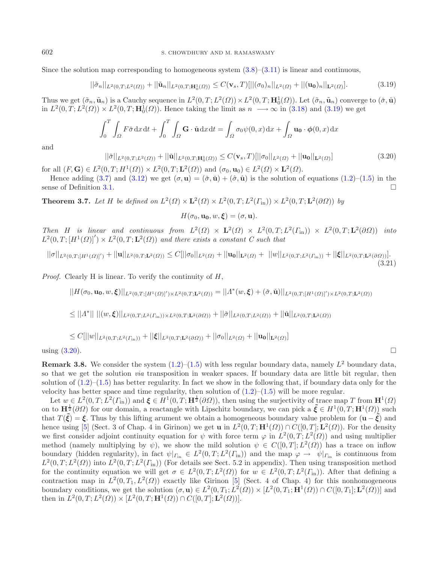Since the solution map corresponding to homogeneous system  $(3.8)$ – $(3.11)$  is linear and continuous,

<span id="page-15-1"></span>
$$
||\tilde{\sigma}_n||_{L^2(0,T;L^2(\Omega))} + ||\tilde{\mathbf{u}}_n||_{L^2(0,T;\mathbf{H}_0^1(\Omega))} \le C(\mathbf{v}_s,T)[||(\sigma_0)_n||_{L^2(\Omega)} + ||(\mathbf{u}_0)_n||_{\mathbf{L}^2(\Omega)}].
$$
\n(3.19)

Thus we get  $(\tilde{\sigma}_n, \tilde{\mathbf{u}}_n)$  is a Cauchy sequence in  $L^2(0,T;L^2(\Omega)) \times L^2(0,T; \mathbf{H}_0^1(\Omega))$ . Let  $(\tilde{\sigma}_n, \tilde{\mathbf{u}}_n)$  converge to  $(\check{\sigma}, \check{\mathbf{u}})$ in  $L^2(0,T;L^2(\Omega)) \times L^2(0,T;\mathbf{H}_0^1(\Omega))$ . Hence taking the limit as  $n \longrightarrow \infty$  in [\(3.18\)](#page-14-4) and [\(3.19\)](#page-15-1) we get

$$
\int_0^T \int_{\Omega} F \check{\sigma} \, dx \, dt + \int_0^T \int_{\Omega} \mathbf{G} \cdot \check{\mathbf{u}} \, dx \, dt = \int_{\Omega} \sigma_0 \psi(0, x) \, dx + \int_{\Omega} \mathbf{u_0} \cdot \phi(0, x) \, dx
$$

and

$$
||\breve{\sigma}||_{L^{2}(0,T;L^{2}(\Omega))} + ||\breve{\mathbf{u}}||_{L^{2}(0,T;\mathbf{H}_{0}^{1}(\Omega))} \leq C(\mathbf{v}_{s},T)[||\sigma_{0}||_{L^{2}(\Omega)} + ||\mathbf{u}_{0}||_{\mathbf{L}^{2}(\Omega)}]
$$
(3.20)

for all  $(F, G) \in L^2(0, T; H^1(\Omega)) \times L^2(0, T; \mathbf{L}^2(\Omega))$  and  $(\sigma_0, \mathbf{u}_0) \in L^2(\Omega) \times \mathbf{L}^2(\Omega)$ .

Hence adding [\(3.7\)](#page-13-4) and [\(3.12\)](#page-13-5) we get  $(\sigma, \mathbf{u}) = (\check{\sigma}, \check{\mathbf{u}}) + (\hat{\sigma}, \hat{\mathbf{u}})$  is the solution of equations [\(1.2\)](#page-1-0)–[\(1.5\)](#page-1-1) in the sense of Definition [3.1.](#page-10-4)

<span id="page-15-3"></span>**Theorem 3.7.** *Let* H *be defined on*  $L^2(\Omega) \times L^2(\Omega) \times L^2(0,T; L^2(\Gamma_{\text{in}})) \times L^2(0,T; L^2(\partial \Omega))$  *by* 

<span id="page-15-4"></span> $H(\sigma_0, \mathbf{u}_0, w, \boldsymbol{\xi}) = (\sigma, \mathbf{u}).$ 

*Then H is linear and continuous from*  $L^2(\Omega) \times L^2(\Omega) \times L^2(0,T;L^2(\Gamma_{\text{in}})) \times L^2(0,T;L^2(\partial\Omega))$  *into*  $L^2(0,T; [H^1(\Omega)]') \times L^2(0,T; \mathbf{L}^2(\Omega))$  and there exists a constant C such that

$$
||\sigma||_{L^{2}(0,T;[H^{1}(\Omega)]')} + ||\mathbf{u}||_{L^{2}(0,T;\mathbf{L}^{2}(\Omega))} \leq C[||\sigma_{0}||_{L^{2}(\Omega)} + ||\mathbf{u}_{0}||_{\mathbf{L}^{2}(\Omega)} + ||w||_{L^{2}(0,T;L^{2}(\Gamma_{\text{in}}))} + ||\xi||_{L^{2}(0,T;\mathbf{L}^{2}(\partial\Omega))}].
$$
\n(3.21)

*Proof.* Clearly H is linear. To verify the continuity of H,

$$
||H(\sigma_0,\mathbf{u_0},w,\xi)||_{L^2(0,T;[H^1(\Omega)]')\times L^2(0,T;\mathbf{L}^2(\Omega))}=||\Lambda^*(w,\xi)+(\check{\sigma},\check{\mathbf{u}})||_{L^2(0,T;[H^1(\Omega)]')\times L^2(0,T;\mathbf{L}^2(\Omega))}
$$

$$
\leq ||A^*|| \, ||(w,\xi)||_{L^2(0,T;L^2(\Gamma_{\text{in}})) \times L^2(0,T;\mathbf{L}^2(\partial \Omega))} + ||\check{\sigma}||_{L^2(0,T;L^2(\Omega))} + ||\check{\mathbf{u}}||_{L^2(0,T;\mathbf{L}^2(\Omega))}
$$

$$
\leq C[||w||_{L^{2}(0,T;L^{2}(\Gamma_{\text{in}}))}+||\xi||_{L^{2}(0,T;\mathbf{L}^{2}(\partial\Omega))}+||\sigma_{0}||_{L^{2}(\Omega)}+||\mathbf{u_{0}}||_{\mathbf{L}^{2}(\Omega)}]
$$

using  $(3.20)$ .

<span id="page-15-0"></span>**Remark 3.8.** We consider the system  $(1.2)$ – $(1.5)$  with less regular boundary data, namely  $L^2$  boundary data, so that we get the solution *via* transposition in weaker spaces. If boundary data are little bit regular, then solution of  $(1.2)$ – $(1.5)$  has better regularity. In fact we show in the following that, if boundary data only for the velocity has better space and time regularity, then solution of  $(1.2)$ – $(1.5)$  will be more regular.

Let  $w \in L^2(0,T; L^2(\Gamma_{\text{in}}))$  and  $\boldsymbol{\xi} \in H^1(0,T; \mathbf{H}^{\frac{1}{2}}(\partial \Omega))$ , then using the surjectivity of trace map T from  $\mathbf{H}^1(\Omega)$ on to  $\mathbf{H}^{\frac{1}{2}}(\partial\Omega)$  for our domain, a reactangle with Lipschitz boundary, we can pick a  $\tilde{\xi} \in H^1(0,T; \mathbf{H}^1(\Omega))$  such that  $T(\tilde{\xi}) = \xi$ . Thus by this lifting arument we obtain a homogeneous boundary value problem for  $(\mathbf{u} - \tilde{\xi})$  and hence using [\[5](#page-28-0)] (Sect. 3 of Chap. 4 in Girinon) we get **u** in  $L^2(0,T; \mathbf{H}^1(\Omega)) \cap C([0,T]; \mathbf{L}^2(\Omega))$ . For the density we first consider adjoint continuity equation for  $\psi$  with force term  $\varphi$  in  $L^2(0,T;L^2(\Omega))$  and using multiplier method (namely multiplying by  $\psi$ ), we show the mild solution  $\psi \in C([0,T];L^2(\Omega))$  has a trace on inflow boundary (hidden regularity), in fact  $\psi|_{\Gamma_{\text{in}}} \in L^2(0,T;L^2(\Gamma_{\text{in}}))$  and the map  $\varphi \to \psi|_{\Gamma_{\text{in}}}$  is continuous from  $L^2(0,T;L^2(\Omega))$  into  $L^2(0,T;L^2(\Gamma_{\text{in}}))$  (For details see Sect. 5.2 in appendix). Then using transposition method for the continuity equation we will get  $\sigma \in L^2(0,T;L^2(\Omega))$  for  $w \in L^2(0,T;L^2(\Gamma_{\rm in}))$ . After that defining a contraction map in  $L^2(0,T_1,L^2(\Omega))$  exactly like Girinon [\[5](#page-28-0)] (Sect. 4 of Chap. 4) for this nonhomogeneous boundary conditions, we get the solution  $(\sigma, \mathbf{u}) \in L^2(0, T_1; L^2(\Omega)) \times [L^2(0, T_1; \mathbf{H}^1(\Omega)) \cap C([0, T_1]; \mathbf{L}^2(\Omega))]$  and then in  $L^2(0, T; L^2(\Omega)) \times [L^2(0, T; \mathbf{H}^1(\Omega)) \cap C([0, T]; \mathbf{L}^2(\Omega))].$ 

<span id="page-15-2"></span>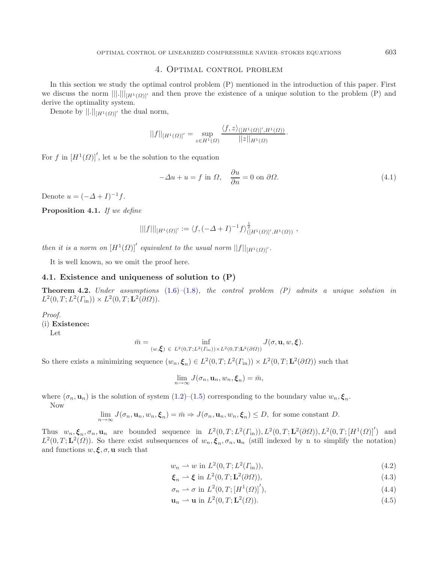## 4. Optimal control problem

In this section we study the optimal control problem (P) mentioned in the introduction of this paper. First we discuss the norm  $|||.|||_{[H^1(\Omega)]'}$  and then prove the existence of a unique solution to the problem (P) and derive the optimality system.

Denote by  $||.||_{[H^1(\Omega)]'}$  the dual norm,

$$
||f||_{[H^1(\Omega)]'} = \sup_{z \in H^1(\Omega)} \frac{\langle f, z \rangle_{([H^1(\Omega)]', H^1(\Omega))}}{||z||_{H^1(\Omega)}}.
$$

For f in  $[H^1(\Omega)]'$ , let u be the solution to the equation

$$
-\Delta u + u = f \text{ in } \Omega, \quad \frac{\partial u}{\partial n} = 0 \text{ on } \partial \Omega.
$$
 (4.1)

Denote  $u = (-\Delta + I)^{-1}f$ .

**Proposition 4.1.** *If we define*

$$
|||f|||_{[H^1(\Omega)]'} := \langle f, (-\Delta + I)^{-1} f \rangle_{([H^1(\Omega)]', H^1(\Omega))}^{\frac{1}{2}},
$$

*then it is a norm on*  $[H^1(\Omega)]'$  *equivalent to the usual norm*  $||f||_{[H^1(\Omega)]'}.$ 

It is well known, so we omit the proof here.

### **4.1. Existence and uniqueness of solution to (P)**

**Theorem 4.2.** *Under assumptions* [\(1.6\)](#page-1-3)*–*[\(1.8\)](#page-1-2)*, the control problem (P) admits a unique solution in*  $L^2(0, T; L^2(\Gamma_{\text{in}})) \times L^2(0, T; \mathbf{L}^2(\partial \Omega)).$ 

#### *Proof.*

(i) **Existence:**

Let

$$
\bar{m} = \inf_{(w,\boldsymbol{\xi}) \in L^2(0,T;L^2(\varGamma_{\rm in})) \times L^2(0,T;L^2(\partial\varOmega))} J(\sigma, \mathbf{u}, w, \boldsymbol{\xi}).
$$

So there exists a minimizing sequence  $(w_n, \xi_n) \in L^2(0,T; L^2(\Gamma_{\text{in}})) \times L^2(0,T; \mathbf{L}^2(\partial \Omega))$  such that

$$
\lim_{n\to\infty} J(\sigma_n, \mathbf{u}_n, w_n, \boldsymbol{\xi}_n) = \bar{m},
$$

where  $(\sigma_n, \mathbf{u}_n)$  is the solution of system  $(1.2)$ – $(1.5)$  corresponding to the boundary value  $w_n, \xi_n$ . Now

$$
\lim_{n\to\infty} J(\sigma_n, \mathbf{u}_n, w_n, \boldsymbol{\xi}_n) = \bar{m} \Rightarrow J(\sigma_n, \mathbf{u}_n, w_n, \boldsymbol{\xi}_n) \le D, \text{ for some constant } D.
$$

Thus  $w_n, \xi_n, \sigma_n, \mathbf{u}_n$  are bounded sequence in  $L^2(0,T; L^2(\Gamma_{\text{in}})), L^2(0,T; \mathbf{L}^2(\partial\Omega)), L^2(0,T; [H^1(\Omega)]')$  and  $L^2(0,T;\mathbf{L}^2(\Omega))$ . So there exist subsequences of  $w_n, \xi_n, \sigma_n, \mathbf{u}_n$  (still indexed by n to simplify the notation) and functions  $w, \xi, \sigma, \mathbf{u}$  such that

<span id="page-16-0"></span>
$$
w_n \rightharpoonup w \text{ in } L^2(0, T; L^2(\Gamma_{\text{in}})), \tag{4.2}
$$

$$
\boldsymbol{\xi}_n \rightharpoonup \boldsymbol{\xi} \text{ in } L^2(0, T; \mathbf{L}^2(\partial \Omega)),\tag{4.3}
$$

$$
\sigma_n \rightharpoonup \sigma \text{ in } L^2(0, T; [H^1(\Omega)]'),
$$
\n
$$
\sigma_n \rightharpoonup \sigma \text{ in } L^2(0, T; [H^1(\Omega)]'), \tag{4.4}
$$

$$
\mathbf{u}_n \rightharpoonup \mathbf{u} \text{ in } L^2(0, T; \mathbf{L}^2(\Omega)).\tag{4.5}
$$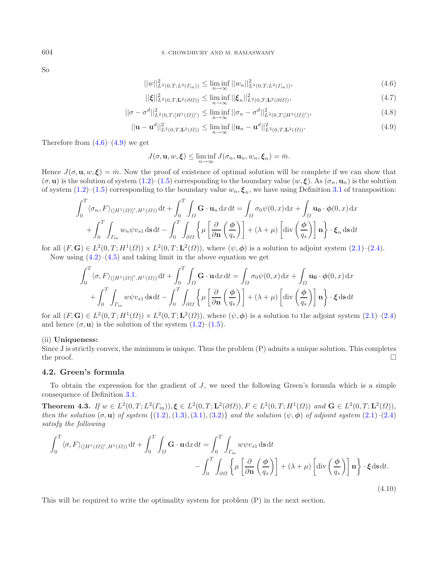So

$$
||w||_{L^{2}(0,T;L^{2}(\Gamma_{\text{in}}))}^{2} \leq \liminf_{n \to \infty} ||w_{n}||_{L^{2}(0,T;L^{2}(\Gamma_{\text{in}}))}^{2},\tag{4.6}
$$

$$
||\xi||_{L^{2}(0,T;\mathbf{L}^{2}(\partial\Omega))}^{2} \leq \liminf_{n \to \infty} ||\xi_{n}||_{L^{2}(0,T;\mathbf{L}^{2}(\partial\Omega))}^{2},\tag{4.7}
$$

<span id="page-17-0"></span>
$$
||\sigma - \sigma^d||^2_{L^2(0,T;[H^1(\Omega)]')} \le \liminf_{n \to \infty} ||\sigma_n - \sigma^d||^2_{L^2(0,T;[H^1(\Omega)]')},
$$
\n(4.8)

$$
||\mathbf{u} - \mathbf{u}^{d}||_{L^{2}(0,T;\mathbf{L}^{2}(\Omega))}^{2} \leq \liminf_{n \to \infty} ||\mathbf{u}_{n} - \mathbf{u}^{d}||_{L^{2}(0,T;\mathbf{L}^{2}(\Omega))}^{2}.
$$
\n(4.9)

Therefore from  $(4.6)$ – $(4.9)$  we get

$$
J(\sigma, \mathbf{u}, w, \boldsymbol{\xi}) \le \liminf_{n \to \infty} J(\sigma_n, \mathbf{u}_n, w_n, \boldsymbol{\xi}_n) = \bar{m}.
$$

Hence  $J(\sigma, \mathbf{u}, w, \xi) = \bar{m}$ . Now the proof of existence of optimal solution will be complete if we can show that  $(\sigma, \mathbf{u})$  is the solution of system  $(1.2)$ – $(1.5)$  corresponding to the boundary value  $(w, \xi)$ . As  $(\sigma_n, \mathbf{u}_n)$  is the solution of system  $(1.2)$ – $(1.5)$  corresponding to the boundary value  $w_n, \xi_n$ , we have using Definition [3.1](#page-10-4) of transposition:

$$
\int_0^T \langle \sigma_n, F \rangle_{([H^1(\Omega)]', H^1(\Omega))} dt + \int_0^T \int_{\Omega} \mathbf{G} \cdot \mathbf{u}_n dx dt = \int_{\Omega} \sigma_0 \psi(0, x) dx + \int_{\Omega} \mathbf{u}_0 \cdot \phi(0, x) dx
$$

$$
+ \int_0^T \int_{\Gamma_{\text{in}}} w_n \psi v_{s1} ds dt - \int_0^T \int_{\partial \Omega} \left\{ \mu \left[ \frac{\partial}{\partial \mathbf{n}} \left( \frac{\phi}{q_s} \right) \right] + (\lambda + \mu) \left[ \text{div} \left( \frac{\phi}{q_s} \right) \right] \mathbf{n} \right\} \cdot \xi_n ds dt
$$

for all  $(F, G) \in L^2(0, T; H^1(\Omega)) \times L^2(0, T; L^2(\Omega))$ , where  $(\psi, \phi)$  is a solution to adjoint system  $(2.1)$ – $(2.4)$ . Now using  $(4.2)$ – $(4.5)$  and taking limit in the above equation we get

$$
\int_0^T \langle \sigma, F \rangle_{([H^1(\Omega)]', H^1(\Omega))} dt + \int_0^T \int_{\Omega} \mathbf{G} \cdot \mathbf{u} dx dt = \int_{\Omega} \sigma_0 \psi(0, x) dx + \int_{\Omega} \mathbf{u}_0 \cdot \phi(0, x) dx + \int_0^T \int_{\Gamma_{\text{in}}} w \psi v_{s1} ds dt - \int_0^T \int_{\partial \Omega} \left\{ \mu \left[ \frac{\partial}{\partial \mathbf{n}} \left( \frac{\phi}{q_s} \right) \right] + (\lambda + \mu) \left[ \text{div} \left( \frac{\phi}{q_s} \right) \right] \mathbf{n} \right\} \cdot \xi ds dt
$$

for all  $(F, G) \in L^2(0, T; H^1(\Omega)) \times L^2(0, T; L^2(\Omega))$ , where  $(\psi, \phi)$  is a solution to the adjoint system  $(2.1)$ – $(2.4)$ and hence  $(\sigma, \mathbf{u})$  is the solution of the system  $(1.2)$ – $(1.5)$ .

#### (ii) **Uniqueness:**

Since J is strictly convex, the minimum is unique. Thus the problem (P) admits a unique solution. This completes the proof.  $\Box$ 

## <span id="page-17-1"></span>**4.2. Green's formula**

To obtain the expression for the gradient of  $J$ , we need the following Green's formula which is a simple consequence of Definition [3.1.](#page-10-4)

**Theorem 4.3.** *If*  $w \in L^2(0, T; L^2(\Gamma_{\text{in}})), \xi \in L^2(0, T; \mathbf{L}^2(\partial \Omega)), F \in L^2(0, T; H^1(\Omega))$  and  $\mathbf{G} \in L^2(0, T; \mathbf{L}^2(\Omega)),$ *then the solution*  $(\sigma, \mathbf{u})$  *of system*  $\{(1.2), (1.3), (3.1), (3.2)\}$  $\{(1.2), (1.3), (3.1), (3.2)\}$  $\{(1.2), (1.3), (3.1), (3.2)\}$  $\{(1.2), (1.3), (3.1), (3.2)\}$  $\{(1.2), (1.3), (3.1), (3.2)\}$  $\{(1.2), (1.3), (3.1), (3.2)\}$  $\{(1.2), (1.3), (3.1), (3.2)\}$  $\{(1.2), (1.3), (3.1), (3.2)\}$  $\{(1.2), (1.3), (3.1), (3.2)\}$  *and the solution*  $(\psi, \phi)$  *of adjoint system*  $(2.1)$ *–* $(2.4)$ *satisfy the following*

$$
\int_0^T \langle \sigma, F \rangle_{([H^1(\Omega)]', H^1(\Omega))} \mathrm{d}t + \int_0^T \int_{\Omega} \mathbf{G} \cdot \mathbf{u} \, \mathrm{d}x \, \mathrm{d}t = \int_0^T \int_{\Gamma_{\text{in}}} w \psi v_{s1} \, \mathrm{d}s \, \mathrm{d}t \n- \int_0^T \int_{\partial \Omega} \left\{ \mu \left[ \frac{\partial}{\partial \mathbf{n}} \left( \frac{\phi}{q_s} \right) \right] + (\lambda + \mu) \left[ \mathrm{div} \left( \frac{\phi}{q_s} \right) \right] \mathbf{n} \right\} \cdot \xi \, \mathrm{d}s \, \mathrm{d}t.
$$
\n(4.10)

This will be required to write the optimality system for problem (P) in the next section.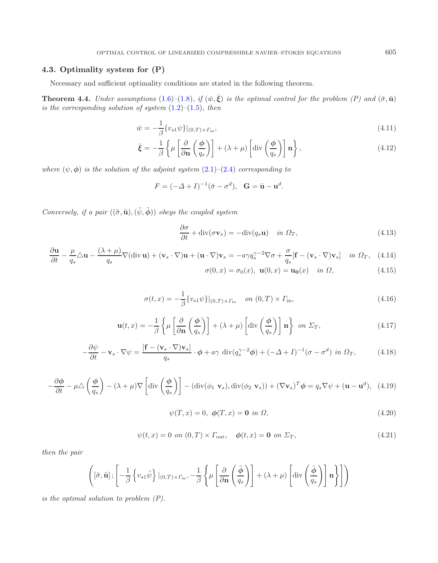## **4.3. Optimality system for (P)**

Necessary and sufficient optimality conditions are stated in the following theorem.

<span id="page-18-2"></span>**Theorem 4.4.** *Under assumptions*  $(1.6)$ – $(1.8)$ *, if*  $(\bar{w}, \bar{\xi})$  *is the optimal control for the problem*  $(P)$  *and*  $(\bar{\sigma}, \bar{u})$ *is the corresponding solution of system* [\(1.2\)](#page-1-0)*–*[\(1.5\)](#page-1-1)*, then*

$$
\bar{w} = -\frac{1}{\beta} \{ v_{s1} \psi \} |_{(0,T) \times \Gamma_{\text{in}}},\tag{4.11}
$$

$$
\bar{\xi} = -\frac{1}{\beta} \left\{ \mu \left[ \frac{\partial}{\partial \mathbf{n}} \left( \frac{\phi}{q_s} \right) \right] + (\lambda + \mu) \left[ \mathrm{div} \left( \frac{\phi}{q_s} \right) \right] \mathbf{n} \right\},\tag{4.12}
$$

*where*  $(\psi, \phi)$  *is the solution of the adjoint system*  $(2.1)$ *–* $(2.4)$  *corresponding to* 

$$
F = (-\Delta + I)^{-1} (\bar{\sigma} - \sigma^d), \quad \mathbf{G} = \bar{\mathbf{u}} - \mathbf{u}^d.
$$

*Conversely, if a pair*  $((\tilde{\sigma}, \tilde{\mathbf{u}}), (\tilde{\psi}, \tilde{\boldsymbol{\phi}}))$  *obeys the coupled system* 

<span id="page-18-0"></span>
$$
\frac{\partial \sigma}{\partial t} + \text{div}(\sigma \mathbf{v}_s) = -\text{div}(q_s \mathbf{u}) \quad \text{in } \Omega_T,
$$
\n(4.13)

$$
\frac{\partial \mathbf{u}}{\partial t} - \frac{\mu}{q_s} \Delta \mathbf{u} - \frac{(\lambda + \mu)}{q_s} \nabla (\text{div } \mathbf{u}) + (\mathbf{v}_s \cdot \nabla) \mathbf{u} + (\mathbf{u} \cdot \nabla) \mathbf{v}_s = -a \gamma q_s^{\gamma - 2} \nabla \sigma + \frac{\sigma}{q_s} [\mathbf{f} - (\mathbf{v}_s \cdot \nabla) \mathbf{v}_s] \quad \text{in } \Omega_T, \quad (4.14)
$$

$$
\sigma(0, x) = \sigma_0(x), \mathbf{u}(0, x) = \mathbf{u_0}(x) \quad \text{in } \Omega,
$$
\n(4.15)

$$
\sigma(t,x) = -\frac{1}{\beta} \{v_{s1}\psi\}|_{(0,T)\times\Gamma_{\text{in}}} \quad on (0,T)\times\Gamma_{\text{in}},
$$
\n(4.16)

$$
\mathbf{u}(t,x) = -\frac{1}{\beta} \left\{ \mu \left[ \frac{\partial}{\partial \mathbf{n}} \left( \frac{\phi}{q_s} \right) \right] + (\lambda + \mu) \left[ \mathrm{div} \left( \frac{\phi}{q_s} \right) \right] \mathbf{n} \right\} \text{ on } \Sigma_T,
$$
\n(4.17)

$$
-\frac{\partial \psi}{\partial t} - \mathbf{v}_s \cdot \nabla \psi = \frac{\left[\mathbf{f} - (\mathbf{v}_s \cdot \nabla) \mathbf{v}_s\right]}{q_s} \cdot \phi + a\gamma \operatorname{div}(q_s^{\gamma - 2} \phi) + (-\Delta + I)^{-1} (\sigma - \sigma^d) \text{ in } \Omega_T,
$$
 (4.18)

$$
-\frac{\partial \phi}{\partial t} - \mu \triangle \left(\frac{\phi}{q_s}\right) - (\lambda + \mu) \nabla \left[ \text{div}\left(\frac{\phi}{q_s}\right) \right] - (\text{div}(\phi_1 \mathbf{v}_s), \text{div}(\phi_2 \mathbf{v}_s)) + (\nabla \mathbf{v}_s)^T \phi = q_s \nabla \psi + (\mathbf{u} - \mathbf{u}^d), \tag{4.19}
$$

$$
\psi(T, x) = 0, \ \phi(T, x) = \mathbf{0} \ in \ \Omega,
$$
\n
$$
(4.20)
$$

$$
\psi(t,x) = 0 \text{ on } (0,T) \times \Gamma_{\text{out}}, \quad \phi(t,x) = \mathbf{0} \text{ on } \Sigma_T,
$$
\n(4.21)

*then the pair*

<span id="page-18-1"></span>
$$
\left( [\tilde{\sigma}, \tilde{\mathbf{u}}] \, ; \left[ -\frac{1}{\beta} \left\{ v_{s1} \tilde{\psi} \right\} |_{(0,T) \times \Gamma_{\text{in}}} , -\frac{1}{\beta} \left\{ \mu \left[ \frac{\partial}{\partial \mathbf{n}} \left( \frac{\tilde{\phi}}{q_s} \right) \right] + (\lambda + \mu) \left[ \text{div} \left( \frac{\tilde{\phi}}{q_s} \right) \right] \mathbf{n} \right\} \right] \right)
$$

*is the optimal solution to problem (P).*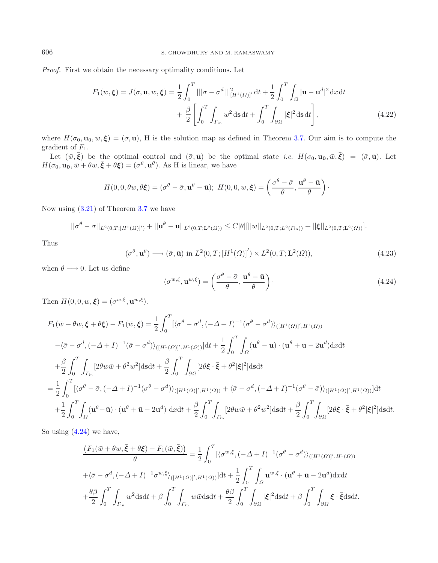*Proof.* First we obtain the necessary optimality conditions. Let

$$
F_1(w,\xi) = J(\sigma, \mathbf{u}, w, \xi) = \frac{1}{2} \int_0^T |||\sigma - \sigma^d||^2_{[H^1(\Omega)]'} dt + \frac{1}{2} \int_0^T \int_{\Omega} |\mathbf{u} - \mathbf{u}^d|^2 dx dt + \frac{\beta}{2} \left[ \int_0^T \int_{\Gamma_{\text{in}}} w^2 ds dt + \int_0^T \int_{\partial \Omega} |\xi|^2 ds dt \right],
$$
(4.22)

<span id="page-19-1"></span>where  $H(\sigma_0, \mathbf{u}_0, w, \boldsymbol{\xi}) = (\sigma, \mathbf{u})$ , H is the solution map as defined in Theorem [3.7.](#page-15-3) Our aim is to compute the gradient of  $F_1$ .

Let  $(\bar{w}, \bar{\xi})$  be the optimal control and  $(\bar{\sigma}, \bar{\mathbf{u}})$  be the optimal state *i.e.*  $H(\sigma_0, \mathbf{u_0}, \bar{w}, \bar{\xi}) = (\bar{\sigma}, \bar{\mathbf{u}})$ . Let  $H(\sigma_0, \mathbf{u_0}, \bar{w} + \theta w, \bar{\xi} + \theta \xi) = (\sigma^{\theta}, \mathbf{u}^{\theta})$ . As H is linear, we have

<span id="page-19-0"></span>
$$
H(0,0,\theta w,\theta \boldsymbol{\xi}) = (\sigma^{\theta} - \bar{\sigma}, \mathbf{u}^{\theta} - \bar{\mathbf{u}}); H(0,0,w,\boldsymbol{\xi}) = \left(\frac{\sigma^{\theta} - \bar{\sigma}}{\theta}, \frac{\mathbf{u}^{\theta} - \bar{\mathbf{u}}}{\theta}\right).
$$

Now using [\(3.21\)](#page-15-4) of Theorem [3.7](#page-15-3) we have

$$
||\sigma^{\theta} - \bar{\sigma}||_{L^{2}(0,T;[H^{1}(\Omega)]')} + ||\mathbf{u}^{\theta} - \bar{\mathbf{u}}||_{L^{2}(0,T;\mathbf{L}^{2}(\Omega))} \leq C|\theta| [||w||_{L^{2}(0,T;L^{2}(\Gamma_{\text{in}}))} + ||\xi||_{L^{2}(0,T;\mathbf{L}^{2}(\Omega))}].
$$

Thus

$$
(\sigma^{\theta}, \mathbf{u}^{\theta}) \longrightarrow (\bar{\sigma}, \bar{\mathbf{u}}) \text{ in } L^2(0, T; [H^1(\Omega)]') \times L^2(0, T; \mathbf{L}^2(\Omega)), \tag{4.23}
$$

when  $\theta \longrightarrow 0$ . Let us define

$$
(\sigma^{w,\xi}, \mathbf{u}^{w,\xi}) = \left(\frac{\sigma^{\theta} - \bar{\sigma}}{\theta}, \frac{\mathbf{u}^{\theta} - \bar{\mathbf{u}}}{\theta}\right). \tag{4.24}
$$

Then  $H(0, 0, w, \boldsymbol{\xi}) = (\sigma^{w, \xi}, \mathbf{u}^{w, \xi}).$ 

$$
F_1(\bar{w} + \theta w, \bar{\xi} + \theta \xi) - F_1(\bar{w}, \bar{\xi}) = \frac{1}{2} \int_0^T \left[ \langle \sigma^\theta - \sigma^d, (-\Delta + I)^{-1} (\sigma^\theta - \sigma^d) \rangle_{([H^1(\Omega)]', H^1(\Omega))} \right. \\ \left. - \langle \bar{\sigma} - \sigma^d, (-\Delta + I)^{-1} (\bar{\sigma} - \sigma^d) \rangle_{([H^1(\Omega)]', H^1(\Omega))} \right] dt + \frac{1}{2} \int_0^T \int_{\Omega} (\mathbf{u}^\theta - \bar{\mathbf{u}}) \cdot (\mathbf{u}^\theta + \bar{\mathbf{u}} - 2\mathbf{u}^d) \mathrm{d}x \mathrm{d}t
$$
  
+ 
$$
\frac{\beta}{2} \int_0^T \int_{\Gamma_{\text{in}}} \left[ 2\theta w \bar{w} + \theta^2 w^2 \right] \mathrm{d}s \mathrm{d}t + \frac{\beta}{2} \int_0^T \int_{\partial\Omega} \left[ 2\theta \xi \cdot \bar{\xi} + \theta^2 |\xi|^2 \right] \mathrm{d}s \mathrm{d}t
$$
  
= 
$$
\frac{1}{2} \int_0^T \left[ \langle \sigma^\theta - \bar{\sigma}, (-\Delta + I)^{-1} (\sigma^\theta - \sigma^d) \rangle_{([H^1(\Omega)]', H^1(\Omega))} + \langle \bar{\sigma} - \sigma^d, (-\Delta + I)^{-1} (\sigma^\theta - \bar{\sigma}) \rangle_{([H^1(\Omega)]', H^1(\Omega))} \right] dt
$$
  
+ 
$$
\frac{1}{2} \int_0^T \int_{\Omega} (\mathbf{u}^\theta - \bar{\mathbf{u}}) \cdot (\mathbf{u}^\theta + \bar{\mathbf{u}} - 2\mathbf{u}^\theta) \mathrm{d}x \mathrm{d}t + \frac{\beta}{2} \int_0^T \int_{\Gamma_{\text{in}}} \left[ 2\theta w \bar{w} + \theta^2 w^2 \right] \mathrm{d}s \mathrm{d}t + \frac{\beta}{2} \int_0^T \int_{\partial\Omega} \left[ 2\theta \xi \cdot \bar{\xi} + \theta^2 |\xi|^2 \right] \mathrm{d}s \mathrm{d}t.
$$

So using [\(4.24\)](#page-19-0) we have,

$$
\frac{\left(F_1(\bar{w}+\theta w,\bar{\xi}+\theta\xi)-F_1(\bar{w},\bar{\xi})\right)}{\theta}=\frac{1}{2}\int_0^T\left[\langle\sigma^{w,\xi},(-\Delta+I)^{-1}(\sigma^{\theta}-\sigma^d)\rangle_{([H^1(\Omega)]',H^1(\Omega))}\right]d\tau
$$

$$
+\langle\bar{\sigma}-\sigma^d,(-\Delta+I)^{-1}\sigma^{w,\xi}\rangle_{([H^1(\Omega)]',H^1(\Omega))}]\mathrm{d}t+\frac{1}{2}\int_0^T\int_{\Omega}\mathbf{u}^{w,\xi}\cdot(\mathbf{u}^{\theta}+\bar{\mathbf{u}}-2\mathbf{u}^d)\mathrm{d}x\mathrm{d}t
$$

$$
+\frac{\theta\beta}{2}\int_0^T\int_{\Gamma_{\text{in}}}w^2\mathrm{d}s\mathrm{d}t+\beta\int_0^T\int_{\Gamma_{\text{in}}}w\bar{w}\mathrm{d}s\mathrm{d}t+\frac{\theta\beta}{2}\int_0^T\int_{\partial\Omega}|\xi|^2\mathrm{d}s\mathrm{d}t+\beta\int_0^T\int_{\partial\Omega}\xi\cdot\bar{\xi}\mathrm{d}s\mathrm{d}t.
$$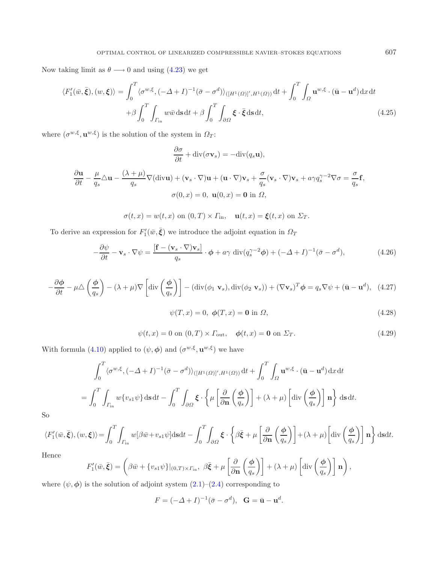Now taking limit as  $\theta \longrightarrow 0$  and using [\(4.23\)](#page-19-1) we get

$$
\langle F'_{1}(\bar{w}, \bar{\xi}), (w, \xi) \rangle = \int_{0}^{T} \langle \sigma^{w, \xi}, (-\Delta + I)^{-1} (\bar{\sigma} - \sigma^{d}) \rangle_{([H^{1}(\Omega)]', H^{1}(\Omega))} dt + \int_{0}^{T} \int_{\Omega} \mathbf{u}^{w, \xi} \cdot (\bar{\mathbf{u}} - \mathbf{u}^{d}) \, dx \, dt
$$

$$
+ \beta \int_{0}^{T} \int_{\Gamma_{\text{in}}} w \bar{w} \, ds \, dt + \beta \int_{0}^{T} \int_{\partial \Omega} \xi \cdot \bar{\xi} \, ds \, dt,
$$
(4.25)

where  $(\sigma^{w,\xi}, \mathbf{u}^{w,\xi})$  is the solution of the system in  $\Omega_T$ :

$$
\frac{\partial \sigma}{\partial t} + \operatorname{div}(\sigma \mathbf{v}_s) = -\operatorname{div}(q_s \mathbf{u}),
$$

$$
\frac{\partial \mathbf{u}}{\partial t} - \frac{\mu}{q_s} \Delta \mathbf{u} - \frac{(\lambda + \mu)}{q_s} \nabla (\text{div}\mathbf{u}) + (\mathbf{v}_s \cdot \nabla) \mathbf{u} + (\mathbf{u} \cdot \nabla) \mathbf{v}_s + \frac{\sigma}{q_s} (\mathbf{v}_s \cdot \nabla) \mathbf{v}_s + a \gamma q_s^{\gamma - 2} \nabla \sigma = \frac{\sigma}{q_s} \mathbf{f},
$$
  

$$
\sigma(0, x) = 0, \ \mathbf{u}(0, x) = \mathbf{0} \text{ in } \Omega,
$$

$$
\sigma(t,x) = w(t,x) \text{ on } (0,T) \times \Gamma_{\text{in}}, \quad \mathbf{u}(t,x) = \xi(t,x) \text{ on } \Sigma_T.
$$

To derive an expression for  $F'_{1}(\bar{w}, \bar{\xi})$  we introduce the adjoint equation in  $\Omega_{\mathcal{I}}$ 

$$
-\frac{\partial \psi}{\partial t} - \mathbf{v}_s \cdot \nabla \psi = \frac{[\mathbf{f} - (\mathbf{v}_s \cdot \nabla) \mathbf{v}_s]}{q_s} \cdot \boldsymbol{\phi} + a\gamma \operatorname{div}(q_s^{\gamma - 2} \boldsymbol{\phi}) + (-\Delta + I)^{-1} (\bar{\sigma} - \sigma^d), \tag{4.26}
$$

$$
-\frac{\partial \phi}{\partial t} - \mu \triangle \left(\frac{\phi}{q_s}\right) - (\lambda + \mu) \nabla \left[ \text{div}\left(\frac{\phi}{q_s}\right) \right] - (\text{div}(\phi_1 \mathbf{v}_s), \text{div}(\phi_2 \mathbf{v}_s)) + (\nabla \mathbf{v}_s)^T \phi = q_s \nabla \psi + (\mathbf{\bar{u}} - \mathbf{u}^d), \tag{4.27}
$$

$$
\psi(T, x) = 0, \ \phi(T, x) = 0 \text{ in } \Omega,
$$
\n(4.28)

$$
\psi(t,x) = 0 \text{ on } (0,T) \times \Gamma_{\text{out}}, \quad \phi(t,x) = \mathbf{0} \text{ on } \Sigma_T. \tag{4.29}
$$

With formula [\(4.10\)](#page-17-1) applied to  $(\psi, \phi)$  and  $(\sigma^{w,\xi}, \mathbf{u}^{w,\xi})$  we have

$$
\int_0^T \langle \sigma^{w,\xi}, (-\Delta + I)^{-1} (\bar{\sigma} - \sigma^d) \rangle_{([H^1(\Omega)]', H^1(\Omega))} dt + \int_0^T \int_{\Omega} \mathbf{u}^{w,\xi} \cdot (\bar{\mathbf{u}} - \mathbf{u}^d) dx dt
$$
  
= 
$$
\int_0^T \int_{\Gamma_{\text{in}}} w \{v_{s1} \psi\} ds dt - \int_0^T \int_{\partial \Omega} \xi \cdot \left\{ \mu \left[ \frac{\partial}{\partial \mathbf{n}} \left( \frac{\phi}{q_s} \right) \right] + (\lambda + \mu) \left[ \text{div} \left( \frac{\phi}{q_s} \right) \right] \mathbf{n} \right\} ds dt.
$$

So

$$
\langle F'_{1}(\bar{w}, \bar{\xi}), (w, \xi) \rangle = \int_{0}^{T} \int_{\Gamma_{\text{in}}} w[\beta \bar{w} + v_{s1} \psi] \, \text{d}s \, \text{d}t - \int_{0}^{T} \int_{\partial \Omega} \xi \cdot \left\{ \beta \bar{\xi} + \mu \left[ \frac{\partial}{\partial \mathbf{n}} \left( \frac{\phi}{q_{s}} \right) \right] + (\lambda + \mu) \left[ \text{div} \left( \frac{\phi}{q_{s}} \right) \right] \mathbf{n} \right\} \, \text{d}s \, \text{d}t.
$$

Hence

$$
F'_{1}(\bar{w}, \bar{\xi}) = \left(\beta \bar{w} + \{v_{s1}\psi\}|_{(0,T)\times\Gamma_{\text{in}}}, \ \beta \bar{\xi} + \mu \left[\frac{\partial}{\partial \mathbf{n}}\left(\frac{\phi}{q_{s}}\right)\right] + (\lambda + \mu) \left[\text{div}\left(\frac{\phi}{q_{s}}\right)\right] \mathbf{n}\right),
$$

where  $(\psi, \phi)$  is the solution of adjoint system  $(2.1)$ – $(2.4)$  corresponding to

$$
F = (-\Delta + I)^{-1} (\bar{\sigma} - \sigma^d), \quad \mathbf{G} = \bar{\mathbf{u}} - \mathbf{u}^d.
$$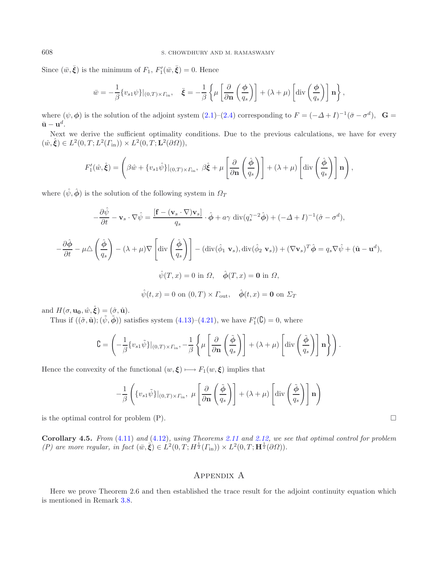Since  $(\bar{w}, \bar{\xi})$  is the minimum of  $F_1$ ,  $F'_1(\bar{w}, \bar{\xi}) = 0$ . Hence

$$
\bar{w} = -\frac{1}{\beta} \{v_{s1}\psi\}|_{(0,T)\times\Gamma_{\rm in}}, \quad \bar{\xi} = -\frac{1}{\beta} \left\{ \mu \left[\frac{\partial}{\partial \mathbf{n}} \left(\frac{\phi}{q_s}\right)\right] + (\lambda + \mu) \left[\text{div}\left(\frac{\phi}{q_s}\right)\right] \mathbf{n} \right\},\,
$$

where  $(\psi, \phi)$  is the solution of the adjoint system  $(2.1)$ – $(2.4)$  corresponding to  $F = (-\Delta + I)^{-1}(\bar{\sigma} - \sigma^d)$ , **G** =  $\bar{\mathbf{u}} - \mathbf{u}^d$ .

Next we derive the sufficient optimality conditions. Due to the previous calculations, we have for every  $(\hat{w}, \hat{\xi}) \in L^2(0, T; L^2(\Gamma_{\text{in}})) \times L^2(0, T; \mathbf{L}^2(\partial \Omega)),$ 

$$
F'_{1}(\hat{w}, \hat{\xi}) = \left(\beta \hat{w} + \{v_{s1}\hat{\psi}\}\big|_{(0,T)\times\Gamma_{\text{in}}}, \ \beta \hat{\xi} + \mu \left[\frac{\partial}{\partial \mathbf{n}}\left(\frac{\hat{\phi}}{q_{s}}\right)\right] + (\lambda + \mu) \left[\text{div}\left(\frac{\hat{\phi}}{q_{s}}\right)\right] \mathbf{n}\right),
$$

where  $(\hat{\psi}, \hat{\phi})$  is the solution of the following system in  $\Omega_T$ 

$$
-\frac{\partial \hat{\psi}}{\partial t} - \mathbf{v}_s \cdot \nabla \hat{\psi} = \frac{[\mathbf{f} - (\mathbf{v}_s \cdot \nabla)\mathbf{v}_s]}{q_s} \cdot \hat{\boldsymbol{\phi}} + a\gamma \operatorname{div}(q_s^{\gamma - 2}\hat{\boldsymbol{\phi}}) + (-\Delta + I)^{-1}(\hat{\sigma} - \sigma^d),
$$

$$
-\frac{\partial \hat{\phi}}{\partial t} - \mu \triangle \left(\frac{\hat{\phi}}{q_s}\right) - (\lambda + \mu)\nabla \left[\operatorname{div}\left(\frac{\hat{\phi}}{q_s}\right)\right] - (\operatorname{div}(\hat{\phi}_1 \mathbf{v}_s), \operatorname{div}(\hat{\phi}_2 \mathbf{v}_s)) + (\nabla \mathbf{v}_s)^T \hat{\boldsymbol{\phi}} = q_s \nabla \hat{\psi} + (\hat{\mathbf{u}} - \mathbf{u}^d),
$$

$$
\hat{\psi}(T, x) = 0 \text{ in } \Omega, \quad \hat{\boldsymbol{\phi}}(T, x) = \mathbf{0} \text{ in } \Omega,
$$

$$
\hat{\psi}(t, x) = 0 \text{ on } (0, T) \times \Gamma_{\text{out}}, \quad \hat{\boldsymbol{\phi}}(t, x) = \mathbf{0} \text{ on } \Sigma_T
$$

and  $H(\sigma, \mathbf{u_0}, \hat{w}, \hat{\boldsymbol{\xi}}) = (\hat{\sigma}, \hat{\mathbf{u}}).$ 

Thus if  $((\tilde{\sigma}, \tilde{\mathbf{u}}); (\tilde{\psi}, \tilde{\phi}))$  satisfies system  $(4.13)-(4.21)$  $(4.13)-(4.21)$  $(4.13)-(4.21)$ , we have  $F'_{1}(\mathcal{C})=0$ , where

$$
\mathbf{C} = \left( -\frac{1}{\beta} \{v_{s1}\tilde{\psi}\}|_{(0,T)\times\Gamma_{\rm in}}, -\frac{1}{\beta} \left\{ \mu \left[ \frac{\partial}{\partial \mathbf{n}} \left( \frac{\tilde{\phi}}{q_s} \right) \right] + (\lambda + \mu) \left[ \mathrm{div} \left( \frac{\tilde{\phi}}{q_s} \right) \right] \mathbf{n} \right\} \right).
$$

Hence the convexity of the functional  $(w, \xi) \longmapsto F_1(w, \xi)$  implies that

$$
-\frac{1}{\beta}\left(\{v_{s1}\tilde{\psi}\}\big|_{(0,T)\times\Gamma_{\rm in}},\ \mu\left[\frac{\partial}{\partial \mathbf{n}}\left(\frac{\tilde{\phi}}{q_s}\right)\right]+(\lambda+\mu)\left[\text{div}\left(\frac{\tilde{\phi}}{q_s}\right)\right]\mathbf{n}\right)
$$

is the optimal control for problem  $(P)$ .

**Corollary 4.5.** *From* [\(4.11\)](#page-18-2) *and* [\(4.12\)](#page-18-2)*, using Theorems [2.11](#page-10-0) and [2.12,](#page-10-6) we see that optimal control for problem (P)* are more regular, in fact  $(\bar{w}, \bar{\xi}) \in L^2(0,T; H^{\frac{1}{2}}(\Gamma_{\text{in}})) \times L^2(0,T; H^{\frac{1}{2}}(\partial \Omega)).$ 

## Appendix A

Here we prove Theorem 2.6 and then established the trace result for the adjoint continuity equation which is mentioned in Remark [3.8.](#page-15-0)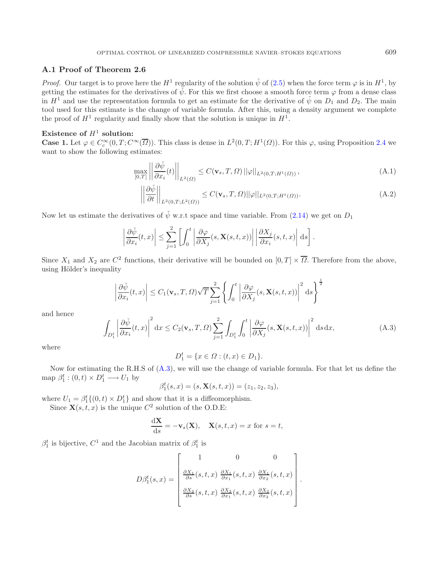## **A.1 Proof of Theorem 2.6**

*Proof.* Our target is to prove here the  $H^1$  regularity of the solution  $\check{\psi}$  of [\(2.5\)](#page-3-3) when the force term  $\varphi$  is in  $H^1$ , by getting the estimates for the derivatives of  $\check{\psi}$ . For this we first choose a smooth force term  $\varphi$  from a dense class in  $H^1$  and use the representation formula to get an estimate for the derivative of  $\check{\psi}$  on  $D_1$  and  $D_2$ . The main tool used for this estimate is the change of variable formula. After this, using a density argument we complete the proof of  $H^1$  regularity and finally show that the solution is unique in  $H^1$ .

## **Existence of**  $H^1$  **solution:**

**Case 1.** Let  $\varphi \in C_c^{\infty}(0,T; C^{\infty}(\overline{\Omega}))$ . This class is dense in  $L^2(0,T; H^1(\Omega))$ . For this  $\varphi$ , using Proposition [2.4](#page-5-3) we want to show the following estimates:

$$
\max_{[0,T]} \left| \left| \frac{\partial \check{\psi}}{\partial x_i}(t) \right| \right|_{L^2(\Omega)} \le C(\mathbf{v}_s, T, \Omega) \left| \left| \varphi \right| \right|_{L^2(0,T;H^1(\Omega))},\tag{A.1}
$$

$$
\left| \left| \frac{\partial \check{\psi}}{\partial t} \right| \right|_{L^2(0,T;L^2(\Omega))} \le C(\mathbf{v}_s, T, \Omega) ||\varphi||_{L^2(0,T;H^1(\Omega))}.
$$
\n(A.2)

<span id="page-22-0"></span>Now let us estimate the derivatives of  $\check{\psi}$  w.r.t space and time variable. From [\(2.14\)](#page-6-1) we get on  $D_1$ 

$$
\left|\frac{\partial \check{\psi}}{\partial x_i}(t,x)\right| \leq \sum_{j=1}^2 \left[ \int_0^t \left| \frac{\partial \varphi}{\partial X_j}(s,\mathbf{X}(s,t,x)) \right| \left| \frac{\partial X_j}{\partial x_i}(s,t,x) \right| ds \right].
$$

Since  $X_1$  and  $X_2$  are  $C^2$  functions, their derivative will be bounded on  $[0, T] \times \overline{\Omega}$ . Therefore from the above, using Hölder's inequality

$$
\left| \frac{\partial \check{\psi}}{\partial x_i}(t, x) \right| \le C_1(\mathbf{v}_s, T, \Omega) \sqrt{T} \sum_{j=1}^2 \left\{ \int_0^t \left| \frac{\partial \varphi}{\partial X_j}(s, \mathbf{X}(s, t, x)) \right|^2 ds \right\}^{\frac{1}{2}}
$$

and hence

$$
\int_{D_1^t} \left| \frac{\partial \check{\psi}}{\partial x_i}(t, x) \right|^2 dx \le C_2(\mathbf{v}_s, T, \Omega) \sum_{j=1}^2 \int_{D_1^t} \int_0^t \left| \frac{\partial \varphi}{\partial X_j}(s, \mathbf{X}(s, t, x)) \right|^2 ds dx, \tag{A.3}
$$

.

where

$$
D_1^t = \{ x \in \Omega : (t, x) \in D_1 \}.
$$

Now for estimating the R.H.S of [\(A.3\)](#page-22-0), we will use the change of variable formula. For that let us define the map  $\beta_1^t : (0, t) \times D_1^t \longrightarrow U_1$  by

$$
\beta_1^t(s, x) = (s, \mathbf{X}(s, t, x)) = (z_1, z_2, z_3),
$$

where  $U_1 = \beta_1^t \{ (0, t) \times D_1^t \}$  and show that it is a diffeomorphism.

Since  $\mathbf{X}(s, t, x)$  is the unique  $C^2$  solution of the O.D.E:

$$
\frac{\mathrm{d}\mathbf{X}}{\mathrm{d}s} = -\mathbf{v}_s(\mathbf{X}), \quad \mathbf{X}(s,t,x) = x \text{ for } s = t,
$$

 $\beta_1^t$  is bijective,  $C^1$  and the Jacobian matrix of  $\beta_1^t$  is

$$
D\beta_1^t(s,x) = \begin{bmatrix} 1 & 0 & 0 \\ \frac{\partial X_1}{\partial s}(s,t,x) & \frac{\partial X_1}{\partial x_1}(s,t,x) & \frac{\partial X_1}{\partial x_2}(s,t,x) \\ \frac{\partial X_2}{\partial s}(s,t,x) & \frac{\partial X_2}{\partial x_1}(s,t,x) & \frac{\partial X_2}{\partial x_2}(s,t,x) \end{bmatrix}
$$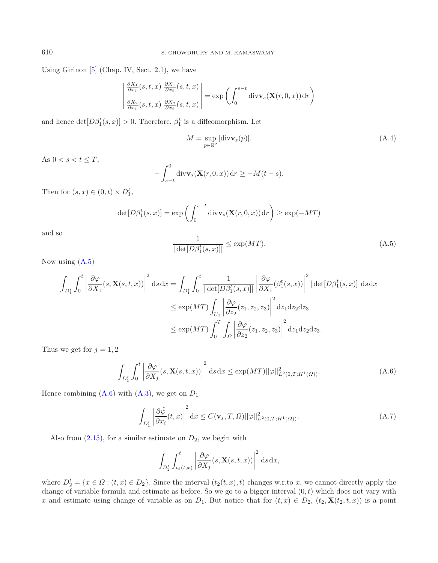Using Girinon  $[5]$  $[5]$  (Chap. IV, Sect. 2.1), we have

<span id="page-23-2"></span>
$$
\begin{vmatrix}\n\frac{\partial X_1}{\partial x_1}(s,t,x) & \frac{\partial X_1}{\partial x_2}(s,t,x) \\
\frac{\partial X_2}{\partial x_1}(s,t,x) & \frac{\partial X_2}{\partial x_2}(s,t,x)\n\end{vmatrix} = \exp\left(\int_0^{s-t} \text{div}\mathbf{v}_s(\mathbf{X}(r,0,x)) dr\right)
$$

<span id="page-23-0"></span>and hence  $\det[D\beta_1^t(s,x)] > 0$ . Therefore,  $\beta_1^t$  is a diffeomorphism. Let

$$
M = \sup_{p \in \mathbb{R}^2} |\text{div}\mathbf{v}_s(p)|. \tag{A.4}
$$

As  $0 < s < t \leq T$ ,

$$
-\int_{s-t}^{0} \operatorname{div} \mathbf{v}_s(\mathbf{X}(r,0,x)) dr \ge -M(t-s).
$$

Then for  $(s, x) \in (0, t) \times D_1^t$ ,

$$
\det[D\beta_1^t(s,x)] = \exp\left(\int_0^{s-t} \operatorname{div} \mathbf{v}_s(\mathbf{X}(r,0,x)) dr\right) \ge \exp(-MT)
$$

<span id="page-23-1"></span>and so

$$
\frac{1}{|\det[D\beta_1^t(s,x)]|} \le \exp(MT). \tag{A.5}
$$

Now using [\(A.5\)](#page-23-0)

$$
\int_{D_1^t} \int_0^t \left| \frac{\partial \varphi}{\partial X_1}(s, \mathbf{X}(s, t, x)) \right|^2 ds dx = \int_{D_1^t} \int_0^t \frac{1}{|\det[D\beta_1^t(s, x)]|} \left| \frac{\partial \varphi}{\partial X_1}(\beta_1^t(s, x)) \right|^2 |\det[D\beta_1^t(s, x)]| ds dx
$$
  
\n
$$
\le \exp(MT) \int_{U_1} \left| \frac{\partial \varphi}{\partial z_2}(z_1, z_2, z_3) \right|^2 dz_1 dz_2 dz_3
$$
  
\n
$$
\le \exp(MT) \int_0^T \int_{\Omega} \left| \frac{\partial \varphi}{\partial z_2}(z_1, z_2, z_3) \right|^2 dz_1 dz_2 dz_3.
$$

Thus we get for  $j = 1, 2$ 

$$
\int_{D_1^t} \int_0^t \left| \frac{\partial \varphi}{\partial X_j}(s, \mathbf{X}(s, t, x)) \right|^2 ds dx \le \exp(MT) ||\varphi||_{L^2(0, T; H^1(\Omega))}^2.
$$
\n(A.6)

Hence combining  $(A.6)$  with  $(A.3)$ , we get on  $D_1$ 

$$
\int_{D_1^t} \left| \frac{\partial \check{\psi}}{\partial x_i}(t, x) \right|^2 dx \le C(\mathbf{v}_s, T, \Omega) ||\varphi||_{L^2(0, T; H^1(\Omega))}^2.
$$
\n(A.7)

Also from  $(2.15)$ , for a similar estimate on  $D_2$ , we begin with

$$
\int_{D_2^t} \int_{t_2(t,x)}^t \left| \frac{\partial \varphi}{\partial X_j}(s, \mathbf{X}(s,t,x)) \right|^2 ds dx,
$$

where  $D_2^t = \{x \in \Omega : (t, x) \in D_2\}$ . Since the interval  $(t_2(t, x), t)$  changes w.r.to x, we cannot directly apply the change of variable formula and estimate as before. So we go to a bigger interval  $(0, t)$  which does not vary with x and estimate using change of variable as on  $D_1$ . But notice that for  $(t, x) \in D_2$ ,  $(t_2, \mathbf{X}(t_2, t, x))$  is a point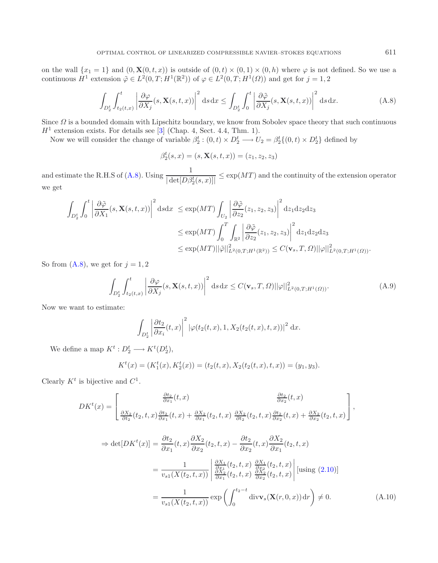on the wall  $\{x_1 = 1\}$  and  $(0, \mathbf{X}(0, t, x))$  is outside of  $(0, t) \times (0, 1) \times (0, h)$  where  $\varphi$  is not defined. So we use a continuous  $H^1$  extension  $\tilde{\varphi} \in L^2(0,T;H^1(\mathbb{R}^2))$  of  $\varphi \in L^2(0,T;H^1(\Omega))$  and get for  $j=1,2$ 

<span id="page-24-0"></span>
$$
\int_{D_2^t} \int_{t_2(t,x)}^t \left| \frac{\partial \varphi}{\partial X_j}(s, \mathbf{X}(s,t,x)) \right|^2 ds dx \le \int_{D_2^t} \int_0^t \left| \frac{\partial \tilde{\varphi}}{\partial X_j}(s, \mathbf{X}(s,t,x)) \right|^2 ds dx.
$$
 (A.8)

Since  $\Omega$  is a bounded domain with Lipschitz boundary, we know from Sobolev space theory that such continuous  $H<sup>1</sup>$  extension exists. For details see [\[3](#page-28-10)] (Chap. 4, Sect. 4.4, Thm. 1).

<span id="page-24-2"></span>Now we will consider the change of variable  $\beta_2^t$ :  $(0,t) \times D_2^t \longrightarrow U_2 = \beta_2^t \{(0,t) \times D_2^t\}$  defined by

$$
\beta_2^t(s, x) = (s, \mathbf{X}(s, t, x)) = (z_1, z_2, z_3)
$$

and estimate the R.H.S of [\(A.8\)](#page-24-0). Using  $\frac{1}{|\det[D\beta_2^t(s,x)]|} \leq \exp(MT)$  and the continuity of the extension operator we get

$$
\int_{D_2^t} \int_0^t \left| \frac{\partial \tilde{\varphi}}{\partial X_1}(s, \mathbf{X}(s, t, x)) \right|^2 ds dx \le \exp(MT) \int_{U_2} \left| \frac{\partial \tilde{\varphi}}{\partial z_2}(z_1, z_2, z_3) \right|^2 dz_1 dz_2 dz_3
$$
  

$$
\le \exp(MT) \int_0^T \int_{\mathbb{R}^2} \left| \frac{\partial \tilde{\varphi}}{\partial z_2}(z_1, z_2, z_3) \right|^2 dz_1 dz_2 dz_3
$$
  

$$
\le \exp(MT) ||\tilde{\varphi}||_{L^2(0, T; H^1(\mathbb{R}^2))}^2 \le C(\mathbf{v}_s, T, \Omega) ||\varphi||_{L^2(0, T; H^1(\Omega))}^2.
$$

So from  $(A.8)$ , we get for  $j = 1, 2$ 

$$
\int_{D_2^t} \int_{t_2(t,x)}^t \left| \frac{\partial \varphi}{\partial X_j}(s, \mathbf{X}(s,t,x)) \right|^2 ds dx \le C(\mathbf{v}_s, T, \Omega) ||\varphi||_{L^2(0,T;H^1(\Omega))}^2.
$$
\n(A.9)

Now we want to estimate:

$$
\int_{D_2^t} \left| \frac{\partial t_2}{\partial x_i}(t,x) \right|^2 \left| \varphi(t_2(t,x), 1, X_2(t_2(t,x),t,x)) \right|^2 dx.
$$

We define a map  $K^t: D_2^t \longrightarrow K^t(D_2^t)$ ,

$$
Kt(x) = (K1t(x), K2t(x)) = (t2(t, x), X2(t2(t, x), t, x)) = (y1, y3).
$$

Clearly  $K^t$  is bijective and  $C^1$ .

<span id="page-24-1"></span>
$$
DK^{t}(x) = \begin{bmatrix} \frac{\partial t_{2}}{\partial x_{1}}(t,x) & \frac{\partial t_{2}}{\partial x_{2}}(t,x) \\ \frac{\partial X_{2}}{\partial t_{2}}(t_{2},t,x) \frac{\partial t_{2}}{\partial x_{1}}(t,x) + \frac{\partial X_{2}}{\partial x_{1}}(t_{2},t,x) \frac{\partial X_{2}}{\partial t_{2}}(t_{2},t,x) \frac{\partial t_{2}}{\partial x_{2}}(t,x) + \frac{\partial X_{2}}{\partial x_{2}}(t_{2},t,x) \end{bmatrix},
$$
  
\n
$$
\Rightarrow \det[DK^{t}(x)] = \frac{\partial t_{2}}{\partial x_{1}}(t,x) \frac{\partial X_{2}}{\partial x_{2}}(t_{2},t,x) - \frac{\partial t_{2}}{\partial x_{2}}(t,x) \frac{\partial X_{2}}{\partial x_{1}}(t_{2},t,x)
$$
  
\n
$$
= \frac{1}{v_{s1}(X(t_{2},t,x))} \begin{vmatrix} \frac{\partial X_{1}}{\partial x_{1}}(t_{2},t,x) & \frac{\partial X_{1}}{\partial x_{2}}(t_{2},t,x) \\ \frac{\partial X_{2}}{\partial x_{1}}(t_{2},t,x) & \frac{\partial X_{2}}{\partial x_{2}}(t_{2},t,x) \end{vmatrix} \begin{bmatrix} \text{using (2.10)} \end{bmatrix}
$$
  
\n
$$
= \frac{1}{v_{s1}(X(t_{2},t,x))} \exp\left(\int_{0}^{t_{2}-t} \text{div} \mathbf{v}_{s}(\mathbf{X}(r,0,x)) dr\right) \neq 0.
$$
 (A.10)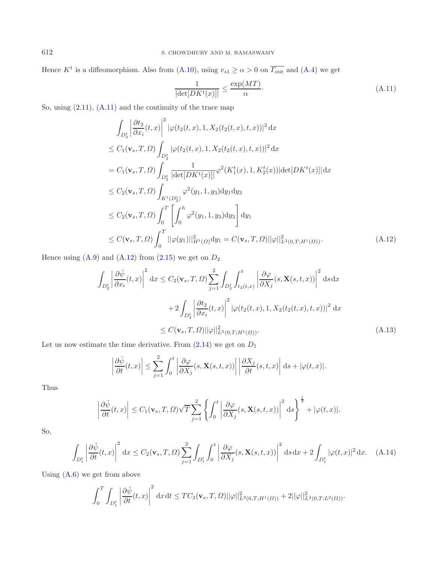Hence  $K^t$  is a diffeomorphism. Also from [\(A.10\)](#page-24-1), using  $v_{s1} \ge \alpha > 0$  on  $\overline{\Gamma_{\text{out}}}$  and [\(A.4\)](#page-23-2) we get

<span id="page-25-0"></span>
$$
\frac{1}{|\det[DK^t(x)]|} \le \frac{\exp(MT)}{\alpha}.
$$
\n(A.11)

<span id="page-25-1"></span>So, using [\(2.11\)](#page-4-2), [\(A.11\)](#page-25-0) and the continuity of the trace map

$$
\int_{D_2^t} \left| \frac{\partial t_2}{\partial x_i}(t, x) \right|^2 |\varphi(t_2(t, x), 1, X_2(t_2(t, x), t, x))|^2 dx
$$
\n
$$
\leq C_1(\mathbf{v}_s, T, \Omega) \int_{D_2^t} |\varphi(t_2(t, x), 1, X_2(t_2(t, x), t, x))|^2 dx
$$
\n
$$
= C_1(\mathbf{v}_s, T, \Omega) \int_{D_2^t} \frac{1}{|\det[DK^t(x)]|} \varphi^2(K_1^t(x), 1, K_2^t(x)) |\det[DK^t(x)]| dx
$$
\n
$$
\leq C_2(\mathbf{v}_s, T, \Omega) \int_{K^t(D_2^t)} \varphi^2(y_1, 1, y_3) dy_1 dy_3
$$
\n
$$
\leq C_2(\mathbf{v}_s, T, \Omega) \int_0^T \left[ \int_0^h \varphi^2(y_1, 1, y_3) dy_3 \right] dy_1
$$
\n
$$
\leq C(\mathbf{v}_s, T, \Omega) \int_0^T ||\varphi(y_1)||_{H^1(\Omega)}^2 dy_1 = C(\mathbf{v}_s, T, \Omega) ||\varphi||_{L^2(0, T; H^1(\Omega))}^2.
$$
\n(A.12)

Hence using  $(A.9)$  and  $(A.12)$  from  $(2.15)$  we get on  $D_2$ 

$$
\int_{D_2^t} \left| \frac{\partial \check{\psi}}{\partial x_i}(t, x) \right|^2 dx \le C_2(\mathbf{v}_s, T, \Omega) \sum_{j=1}^2 \int_{D_2^t} \int_{t_2(t, x)}^t \left| \frac{\partial \varphi}{\partial X_j}(s, \mathbf{X}(s, t, x)) \right|^2 ds dx
$$
  
+2\int\_{D\_2^t} \left| \frac{\partial t\_2}{\partial x\_i}(t, x) \right|^2 \left| \varphi(t\_2(t, x), 1, X\_2(t\_2(t, x), t, x)) \right|^2 dx  

$$
\le C(\mathbf{v}_s, T, \Omega) ||\varphi||_{L^2(0, T; H^1(\Omega))}^2.
$$
 (A.13)

Let us now estimate the time derivative. From  $(2.14)$  we get on  $D_1$ 

$$
\left|\frac{\partial \check{\psi}}{\partial t}(t,x)\right| \leq \sum_{j=1}^2 \int_0^t \left|\frac{\partial \varphi}{\partial X_j}(s,\mathbf{X}(s,t,x))\right| \left|\frac{\partial X_j}{\partial t}(s,t,x)\right| ds + |\varphi(t,x)|.
$$

Thus

$$
\left|\frac{\partial \check{\psi}}{\partial t}(t,x)\right| \leq C_1(\mathbf{v}_s, T, \Omega) \sqrt{T} \sum_{j=1}^2 \left\{ \int_0^t \left|\frac{\partial \varphi}{\partial X_j}(s, \mathbf{X}(s,t,x))\right|^2 ds \right\}^{\frac{1}{2}} + |\varphi(t,x)|.
$$

So,

$$
\int_{D_1^t} \left| \frac{\partial \check{\psi}}{\partial t}(t, x) \right|^2 dx \le C_2(\mathbf{v}_s, T, \Omega) \sum_{j=1}^2 \int_{D_1^t} \int_0^t \left| \frac{\partial \varphi}{\partial X_j}(s, \mathbf{X}(s, t, x)) \right|^2 ds dx + 2 \int_{D_1^t} |\varphi(t, x)|^2 dx. \tag{A.14}
$$

Using  $(A.6)$  we get from above

$$
\int_0^T \int_{D_1^t} \left| \frac{\partial \check{\psi}}{\partial t}(t,x) \right|^2 dx \, dt \leq TC_3(\mathbf{v}_s,T,\Omega) ||\varphi||^2_{L^2(0,T;H^1(\Omega))} + 2||\varphi||^2_{L^2(0,T;L^2(\Omega))}.
$$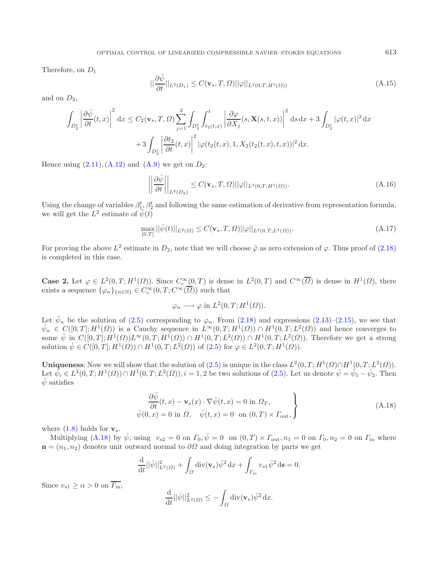Therefore, on  $D_1$ 

$$
||\frac{\partial \check{\psi}}{\partial t}||_{L^2(D_1)} \le C(\mathbf{v}_s, T, \Omega) ||\varphi||_{L^2(0,T;H^1(\Omega))}
$$
\n(A.15)

and on  $D_2$ ,

$$
\int_{D_2^t} \left| \frac{\partial \check{\psi}}{\partial t}(t,x) \right|^2 dx \le C_2(\mathbf{v}_s, T, \Omega) \sum_{j=1}^2 \int_{D_2^t} \int_{t_2(t,x)}^t \left| \frac{\partial \varphi}{\partial X_j}(s, \mathbf{X}(s,t,x)) \right|^2 ds dx + 3 \int_{D_2^t} |\varphi(t,x)|^2 dx
$$

$$
+ 3 \int_{D_2^t} \left| \frac{\partial t_2}{\partial t}(t,x) \right|^2 |\varphi(t_2(t,x), 1, X_2(t_2(t,x), t, x))|^2 dx.
$$

Hence using  $(2.11)$ ,  $(A.12)$  and  $(A.9)$  we get on  $D_2$ :

$$
\left\| \frac{\partial \check{\psi}}{\partial t} \right\|_{L^2(D_2)} \le C(\mathbf{v}_s, T, \Omega) ||\varphi||_{L^2(0, T; H^1(\Omega))}.
$$
\n(A.16)

Using the change of variables  $\beta_1^t, \beta_2^t$  and following the same estimation of derivative from representation formula, we will get the  $L^2$  estimate of  $\tilde{\psi}(t)$ 

$$
\max_{[0,T]} ||\check{\psi}(t)||_{L^2(\Omega)} \le C(\mathbf{v}_s, T, \Omega) ||\varphi||_{L^2(0,T;L^2(\Omega))}.
$$
\n(A.17)

For proving the above  $L^2$  estimate in  $D_2$ , note that we will choose  $\tilde{\varphi}$  as zero extension of  $\varphi$ . Thus proof of [\(2.18\)](#page-6-5) is completed in this case.

**Case 2.** Let  $\varphi \in L^2(0,T;H^1(\Omega))$ . Since  $C_c^{\infty}(0,T)$  is dense in  $L^2(0,T)$  and  $C^{\infty}(\overline{\Omega})$  is dense in  $H^1(\Omega)$ , there exists a sequence  $\{\varphi_n\}_{n\in\mathbb{N}}\in C_c^{\infty}(0,T;C^{\infty}(\overline{\Omega}))$  such that

$$
\varphi_n \longrightarrow \varphi
$$
 in  $L^2(0,T; H^1(\Omega)).$ 

Let  $\check{\psi}_n$  be the solution of [\(2.5\)](#page-3-3) corresponding to  $\varphi_n$ . From [\(2.18\)](#page-6-5) and expressions [\(2.13\)](#page-5-1)–[\(2.15\)](#page-6-6), we see that  $\check{\psi}_n \in C([0,T]; H^1(\Omega))$  is a Cauchy sequence in  $L^{\infty}(0,T; H^1(\Omega)) \cap H^1(0,T; L^2(\Omega))$  and hence converges to some  $\check{\psi}$  in  $C([0,T]; H^1(\Omega))L^{\infty}(0,T; H^1(\Omega)) \cap H^1(0,T; L^2(\Omega)) \cap H^1(0,T; L^2(\Omega))$ . Therefore we get a strong solution  $\check{\psi} \in C([0,T]; H^1(\Omega)) \cap H^1(0,T; L^2(\Omega))$  of  $(2.5)$  for  $\varphi \in L^2(0,T; H^1(\Omega))$ .

**Uniqueness:** Now we will show that the solution of  $(2.5)$  is unique in the class  $L^2(0,T; H^1(\Omega) \cap H^1(0,T; L^2(\Omega))$ . Let  $\tilde{\psi}_i \in L^2(0,T;H^1(\Omega)) \cap H^1(0,T;L^2(\Omega)), i = 1,2$  be two solutions of [\(2.5\)](#page-3-3). Let us denote  $\tilde{\psi} = \tilde{\psi}_1 - \tilde{\psi}_2$ . Then  $\bar{\psi}$  satisfies

$$
\frac{\partial \bar{\psi}}{\partial t}(t, x) - \mathbf{v}_s(x) \cdot \nabla \bar{\psi}(t, x) = 0 \text{ in } \Omega_T, \n\bar{\psi}(0, x) = 0 \text{ in } \Omega, \quad \bar{\psi}(t, x) = 0 \text{ on } (0, T) \times \Gamma_{\text{out}},
$$
\n(A.18)

<span id="page-26-0"></span>where  $(1.8)$  holds for  $\mathbf{v}_s$ .

Multiplying [\(A.18\)](#page-26-0) by  $\bar{\psi}$ , using  $v_{s2} = 0$  on  $\Gamma_0$ ,  $\bar{\psi} = 0$  on  $(0, T) \times \Gamma_{\text{out}}$ ,  $n_1 = 0$  on  $\Gamma_0$ ,  $n_2 = 0$  on  $\Gamma_{\text{in}}$  where  $\mathbf{n} = (n_1, n_2)$  denotes unit outward normal to  $\partial\Omega$  and doing integration by parts we get

$$
\frac{\mathrm{d}}{\mathrm{d}t}||\bar{\psi}||_{L^2(\Omega)}^2 + \int_{\Omega} \mathrm{div}(\mathbf{v}_s)\bar{\psi}^2 \, \mathrm{d}x + \int_{\Gamma_{\text{in}}} v_{s1}\bar{\psi}^2 \, \mathrm{d}\mathbf{s} = 0.
$$

Since  $v_{s1} \ge \alpha > 0$  on  $\overline{\Gamma_{in}}$ ,

$$
\frac{\mathrm{d}}{\mathrm{d}t}||\bar{\psi}||_{L^2(\Omega)}^2 \leq -\int_{\Omega} \mathrm{div}(\mathbf{v}_s)\bar{\psi}^2 \,\mathrm{d}x.
$$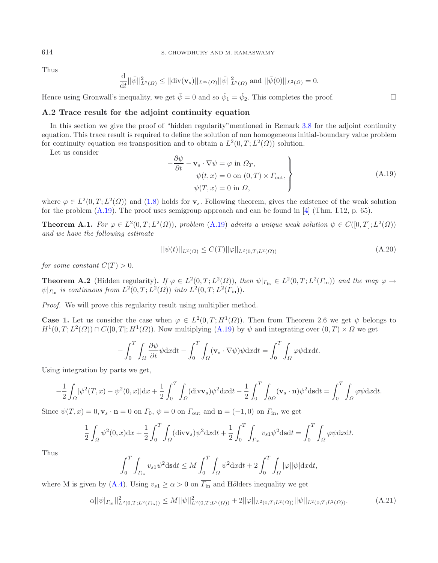#### <span id="page-27-0"></span>614 S. CHOWDHURY AND M. RAMASWAMY

Thus

<span id="page-27-1"></span>
$$
\frac{\mathrm{d}}{\mathrm{d}t}||\bar{\psi}||_{L^2(\Omega)}^2 \le ||\mathrm{div}(\mathbf{v}_s)||_{L^{\infty}(\Omega)}||\bar{\psi}||_{L^2(\Omega)}^2 \text{ and } ||\bar{\psi}(0)||_{L^2(\Omega)} = 0.
$$

Hence using Gronwall's inequality, we get  $\bar{\psi} = 0$  and so  $\check{\psi}_1 = \check{\psi}_2$ . This completes the proof.

### **A.2 Trace result for the adjoint continuity equation**

In this section we give the proof of "hidden regularity" mentioned in Remark [3.8](#page-15-0) for the adjoint continuity equation. This trace result is required to define the solution of non homogeneous initial-boundary value problem for continuity equation *via* transposition and to obtain a  $L^2(0,T; L^2(\Omega))$  solution.

Let us consider

$$
-\frac{\partial \psi}{\partial t} - \mathbf{v}_s \cdot \nabla \psi = \varphi \text{ in } \Omega_T, \n\psi(t, x) = 0 \text{ on } (0, T) \times \Gamma_{\text{out}}, \n\psi(T, x) = 0 \text{ in } \Omega,
$$
\n(A.19)

where  $\varphi \in L^2(0,T;L^2(\Omega))$  and [\(1.8\)](#page-1-2) holds for **v**<sub>s</sub>. Following theorem, gives the existence of the weak solution for the problem  $(A.19)$ . The proof uses semigroup approach and can be found in [\[4\]](#page-28-1) (Thm. I.12, p. 65).

**Theorem A.1.** *For*  $\varphi \in L^2(0,T;L^2(\Omega))$ *, problem* [\(A.19\)](#page-27-0) *admits a unique weak solution*  $\psi \in C([0,T];L^2(\Omega))$ *and we have the following estimate*

$$
||\psi(t)||_{L^{2}(\Omega)} \leq C(T)||\varphi||_{L^{2}(0,T;L^{2}(\Omega))}
$$
\n(A.20)

*for some constant*  $C(T) > 0$ .

**Theorem A.2** (Hidden regularity). *If*  $\varphi \in L^2(0,T; L^2(\Omega))$ , *then*  $\psi|_{\Gamma_{\text{in}}} \in L^2(0,T; L^2(\Gamma_{\text{in}}))$  *and the map*  $\varphi \to$  $\psi|_{\Gamma_{\text{in}}}$  *is continuous from*  $L^2(0,T;L^2(\Omega))$  *into*  $L^2(0,T;L^2(\Gamma_{\text{in}})).$ 

*Proof.* We will prove this regularity result using multiplier method.

**Case 1.** Let us consider the case when  $\varphi \in L^2(0,T;H^1(\Omega))$ . Then from Theorem 2.6 we get  $\psi$  belongs to  $H^1(0,T;L^2(\Omega)) \cap C([0,T];H^1(\Omega))$ . Now multiplying  $(A.19)$  by  $\psi$  and integrating over  $(0,T) \times \Omega$  we get

<span id="page-27-2"></span>
$$
-\int_0^T \int_{\Omega} \frac{\partial \psi}{\partial t} \psi \mathrm{d}x \mathrm{d}t - \int_0^T \int_{\Omega} (\mathbf{v}_s \cdot \nabla \psi) \psi \mathrm{d}x \mathrm{d}t = \int_0^T \int_{\Omega} \varphi \psi \mathrm{d}x \mathrm{d}t.
$$

Using integration by parts we get,

$$
-\frac{1}{2}\int_{\Omega}[\psi^2(T,x) - \psi^2(0,x)]\mathrm{d}x + \frac{1}{2}\int_0^T\int_{\Omega}(\mathrm{div}\mathbf{v}_s)\psi^2\mathrm{d}x\mathrm{d}t - \frac{1}{2}\int_0^T\int_{\partial\Omega}(\mathbf{v}_s\cdot\mathbf{n})\psi^2\mathrm{d}s\mathrm{d}t = \int_0^T\int_{\Omega}\varphi\psi\mathrm{d}x\mathrm{d}t.
$$

Since  $\psi(T, x) = 0$ ,  $\mathbf{v}_s \cdot \mathbf{n} = 0$  on  $\Gamma_0$ ,  $\psi = 0$  on  $\Gamma_{\text{out}}$  and  $\mathbf{n} = (-1, 0)$  on  $\Gamma_{\text{in}}$ , we get

$$
\frac{1}{2} \int_{\Omega} \psi^2(0, x) dx + \frac{1}{2} \int_0^T \int_{\Omega} (\text{div}\mathbf{v}_s) \psi^2 dx dt + \frac{1}{2} \int_0^T \int_{\Gamma_{\text{in}}} v_{s1} \psi^2 ds dt = \int_0^T \int_{\Omega} \varphi \psi dx dt.
$$

Thus

$$
\int_0^T \int_{\Gamma_{\text{in}}} v_{s1} \psi^2 \text{d}s \text{d}t \le M \int_0^T \int_{\Omega} \psi^2 \text{d}x \text{d}t + 2 \int_0^T \int_{\Omega} |\varphi| |\psi| \text{d}x \text{d}t,
$$

where M is given by [\(A.4\)](#page-23-2). Using  $v_{s1} \ge \alpha > 0$  on  $\overline{\Gamma_{in}}$  and Hölders inequality we get

$$
\alpha ||\psi|_{\Gamma_{\text{in}}}||_{L^{2}(0,T;L^{2}(\Gamma_{\text{in}}))}^{2} \leq M ||\psi||_{L^{2}(0,T;L^{2}(\Omega))}^{2} + 2||\varphi||_{L^{2}(0,T;L^{2}(\Omega))} ||\psi||_{L^{2}(0,T;L^{2}(\Omega))}. \tag{A.21}
$$